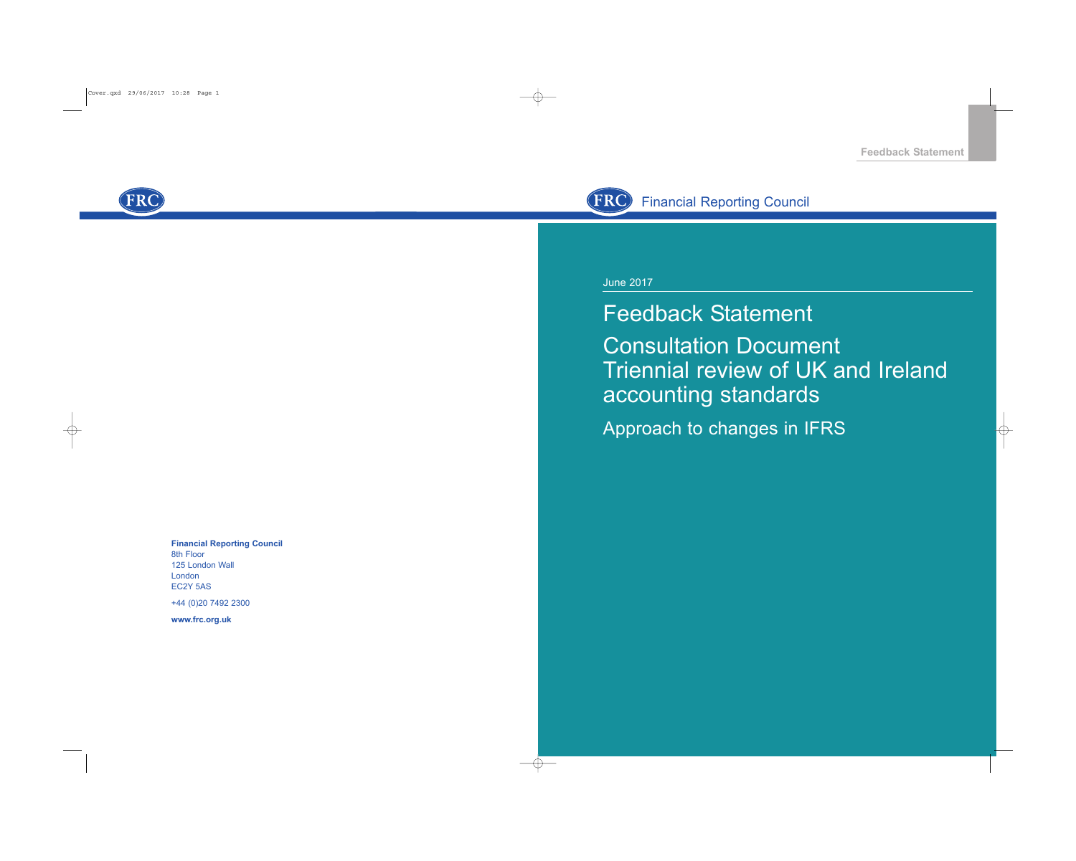

June 2017

# Feedback Statement

Consultation Document Triennial review of UK and Ireland accounting standards

Approach to changes in IFRS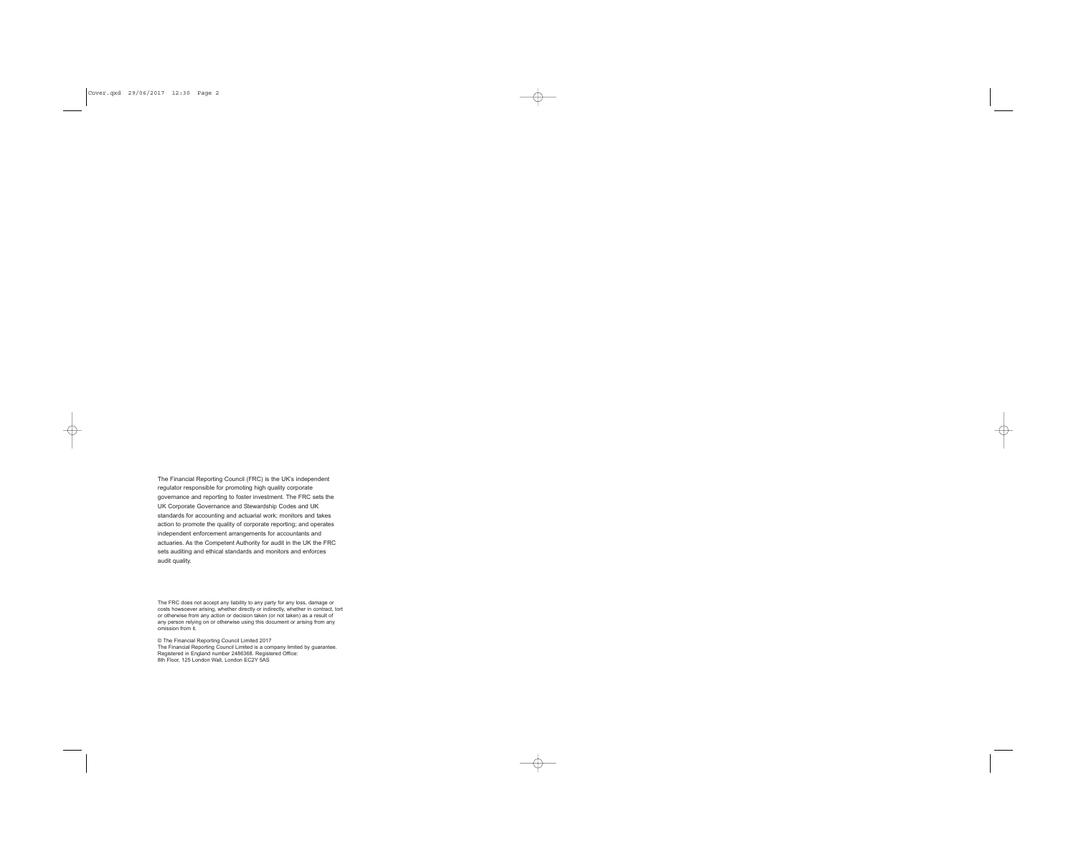The Financial Reporting Council (FRC) is the UK's independent regulator responsible for promoting high quality corporate governance and reporting to foster investment. The FRC sets the UK Corporate Governance and Stewardship Codes and UK standards for accounting and actuarial work; monitors and takes action to promote the quality of corporate reporting; and operates independent enforcement arrangements for accountants and actuaries. As the Competent Authority for audit in the UK the FRC sets auditing and ethical standards and monitors and enforces audit quality.

The FRC does not accept any liability to any party for any loss, damage or costs howsoever arising, whether directly or indirectly, whether in contract, tort or otherwise from any action or decision taken (or not taken) as a result of any person relying on or otherwise using this document or arising from any omission from it.

© The Financial Reporting Council Limited 2017 The Financial Reporting Council Limited is a company limited by guarantee. Registered in England number 2486368. Registered Office: 8th Floor, 125 London Wall, London EC2Y 5AS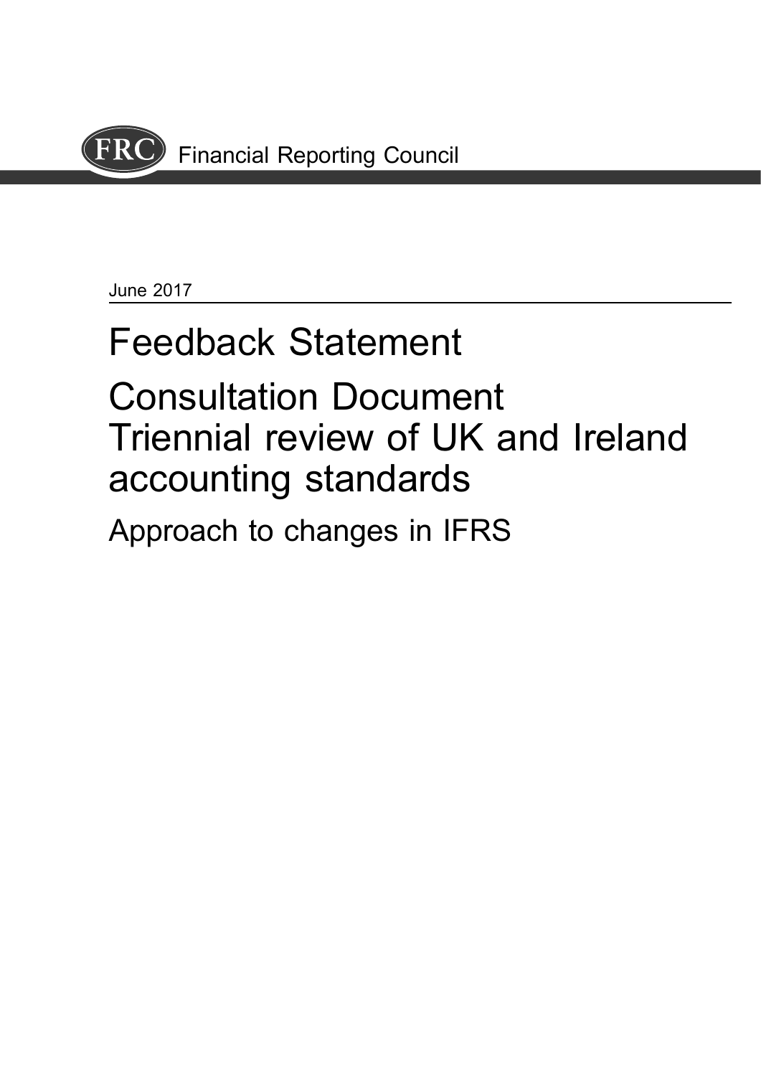

June 2017

# Feedback Statement

# Consultation Document Triennial review of UK and Ireland accounting standards

Approach to changes in IFRS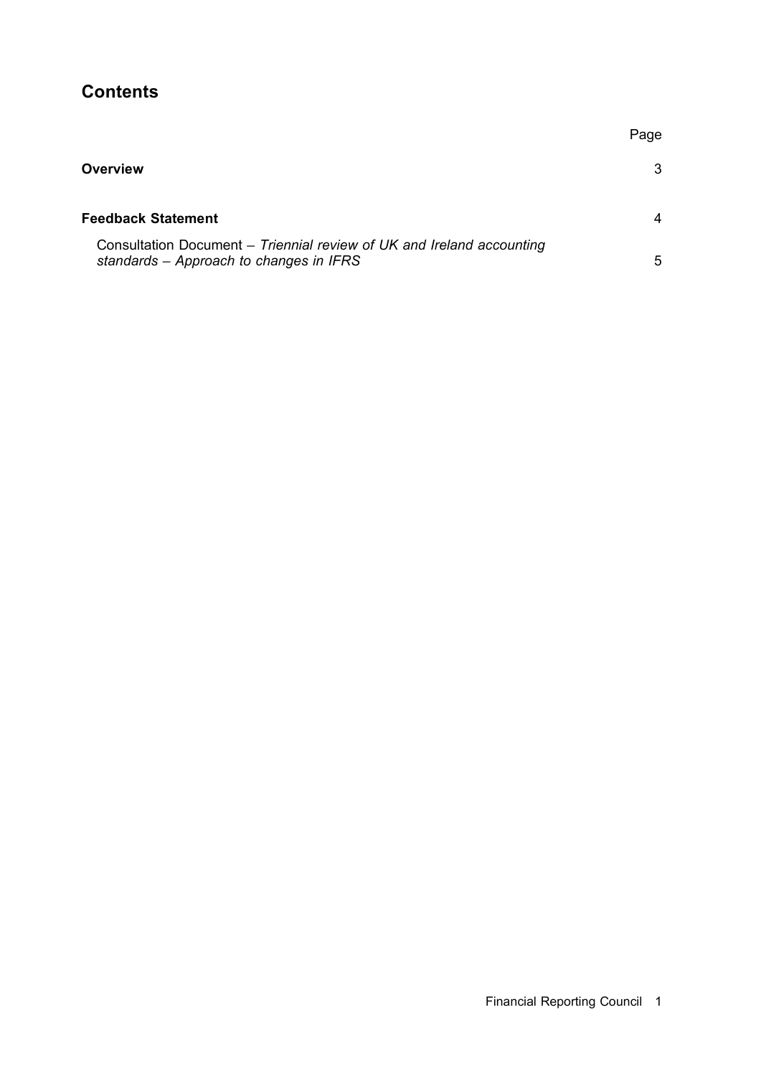# **Contents**

| <b>Overview</b>                                                                                                  |   |
|------------------------------------------------------------------------------------------------------------------|---|
| <b>Feedback Statement</b>                                                                                        | Δ |
| Consultation Document – Triennial review of UK and Ireland accounting<br>standards – Approach to changes in IFRS | 5 |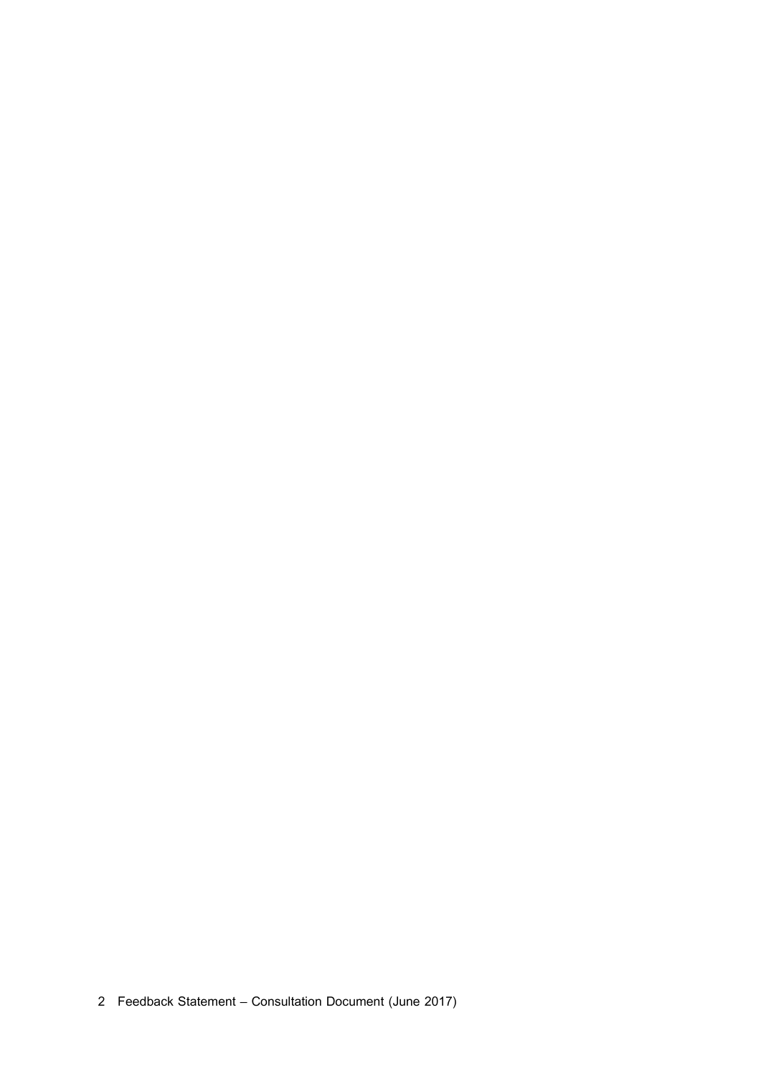2 Feedback Statement – Consultation Document (June 2017)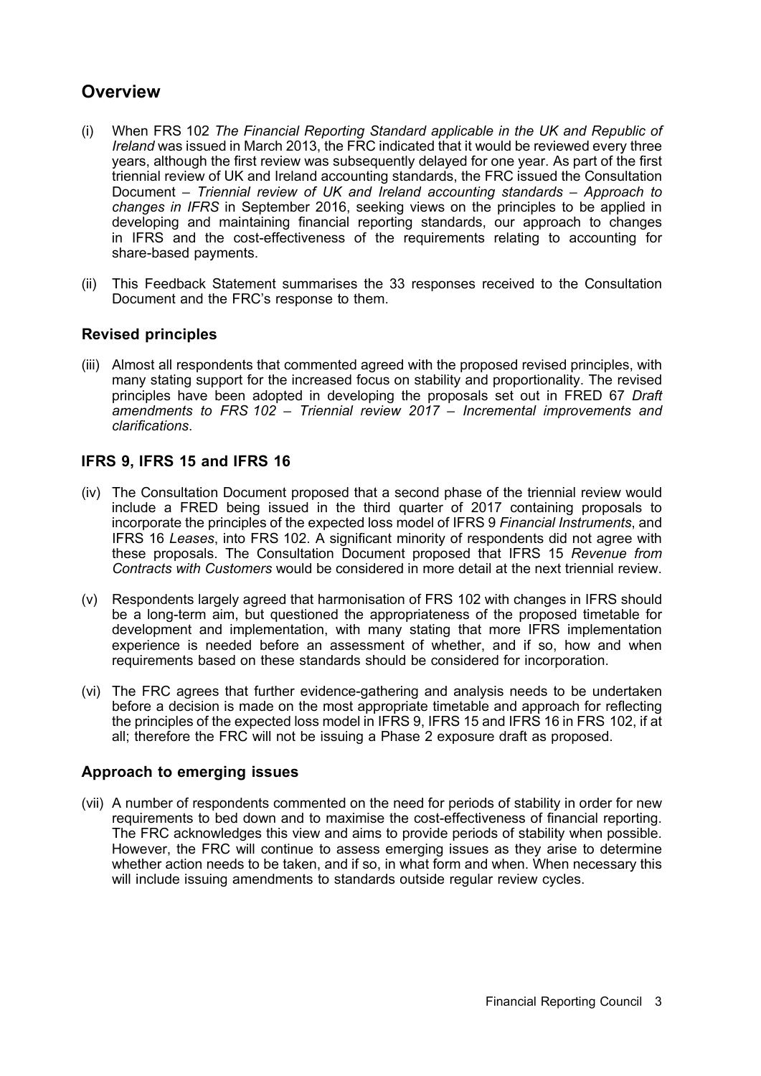## **Overview**

- (i) When FRS 102 The Financial Reporting Standard applicable in the UK and Republic of Ireland was issued in March 2013, the FRC indicated that it would be reviewed every three years, although the first review was subsequently delayed for one year. As part of the first triennial review of UK and Ireland accounting standards, the FRC issued the Consultation Document – Triennial review of UK and Ireland accounting standards – Approach to changes in IFRS in September 2016, seeking views on the principles to be applied in developing and maintaining financial reporting standards, our approach to changes in IFRS and the cost-effectiveness of the requirements relating to accounting for share-based payments.
- (ii) This Feedback Statement summarises the 33 responses received to the Consultation Document and the FRC's response to them.

## Revised principles

(iii) Almost all respondents that commented agreed with the proposed revised principles, with many stating support for the increased focus on stability and proportionality. The revised principles have been adopted in developing the proposals set out in FRED 67 Draft amendments to FRS 102 – Triennial review 2017 – Incremental improvements and clarifications.

## IFRS 9, IFRS 15 and IFRS 16

- (iv) The Consultation Document proposed that a second phase of the triennial review would include a FRED being issued in the third quarter of 2017 containing proposals to incorporate the principles of the expected loss model of IFRS 9 Financial Instruments, and IFRS 16 Leases, into FRS 102. A significant minority of respondents did not agree with these proposals. The Consultation Document proposed that IFRS 15 Revenue from Contracts with Customers would be considered in more detail at the next triennial review.
- (v) Respondents largely agreed that harmonisation of FRS 102 with changes in IFRS should be a long-term aim, but questioned the appropriateness of the proposed timetable for development and implementation, with many stating that more IFRS implementation experience is needed before an assessment of whether, and if so, how and when requirements based on these standards should be considered for incorporation.
- (vi) The FRC agrees that further evidence-gathering and analysis needs to be undertaken before a decision is made on the most appropriate timetable and approach for reflecting the principles of the expected loss model in IFRS 9, IFRS 15 and IFRS 16 in FRS 102, if at all; therefore the FRC will not be issuing a Phase 2 exposure draft as proposed.

## Approach to emerging issues

(vii) A number of respondents commented on the need for periods of stability in order for new requirements to bed down and to maximise the cost-effectiveness of financial reporting. The FRC acknowledges this view and aims to provide periods of stability when possible. However, the FRC will continue to assess emerging issues as they arise to determine whether action needs to be taken, and if so, in what form and when. When necessary this will include issuing amendments to standards outside regular review cycles.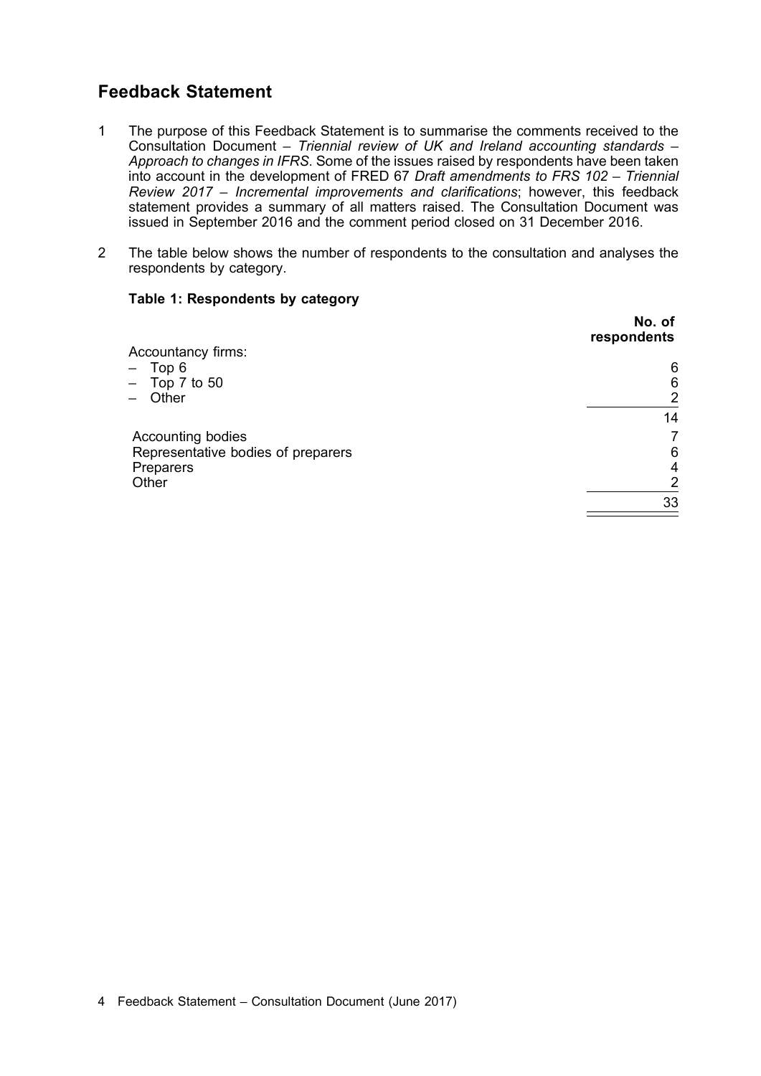## Feedback Statement

- 1 The purpose of this Feedback Statement is to summarise the comments received to the Consultation Document – Triennial review of UK and Ireland accounting standards – Approach to changes in IFRS. Some of the issues raised by respondents have been taken into account in the development of FRED 67 Draft amendments to FRS 102 – Triennial Review 2017 – Incremental improvements and clarifications; however, this feedback statement provides a summary of all matters raised. The Consultation Document was issued in September 2016 and the comment period closed on 31 December 2016.
- 2 The table below shows the number of respondents to the consultation and analyses the respondents by category.

#### Table 1: Respondents by category

|                                    | No. of<br>respondents |
|------------------------------------|-----------------------|
| Accountancy firms:<br>Top 6        | 6                     |
| Top $7$ to $50$                    | 6                     |
| Other                              | 2                     |
|                                    | 14                    |
| Accounting bodies                  | 7                     |
| Representative bodies of preparers | 6                     |
| Preparers                          | 4                     |
| Other                              | $\overline{2}$        |
|                                    | 33                    |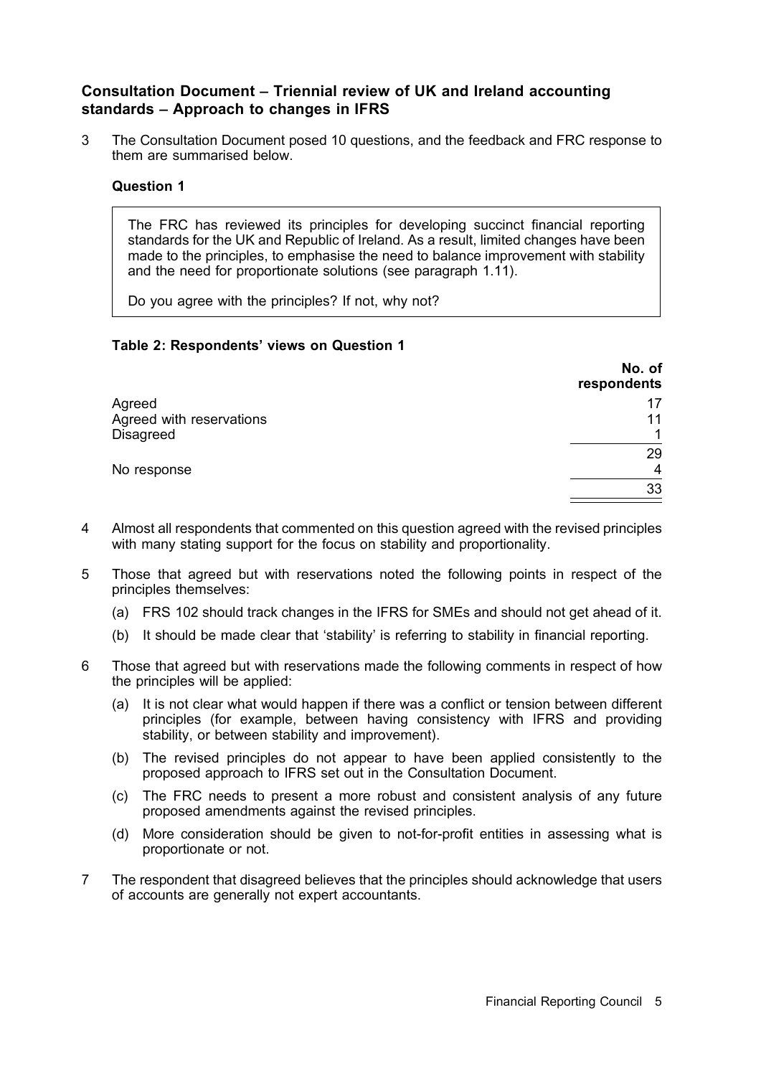## Consultation Document – Triennial review of UK and Ireland accounting standards – Approach to changes in IFRS

3 The Consultation Document posed 10 questions, and the feedback and FRC response to them are summarised below.

#### Question 1

The FRC has reviewed its principles for developing succinct financial reporting standards for the UK and Republic of Ireland. As a result, limited changes have been made to the principles, to emphasise the need to balance improvement with stability and the need for proportionate solutions (see paragraph 1.11).

Do you agree with the principles? If not, why not?

#### Table 2: Respondents' views on Question 1

|                          | No. of<br>respondents |
|--------------------------|-----------------------|
| Agreed                   | 17                    |
| Agreed with reservations | 11                    |
| Disagreed                | 1                     |
|                          | 29                    |
| No response              | 4                     |
|                          | 33                    |

4 Almost all respondents that commented on this question agreed with the revised principles with many stating support for the focus on stability and proportionality.

- 5 Those that agreed but with reservations noted the following points in respect of the principles themselves:
	- (a) FRS 102 should track changes in the IFRS for SMEs and should not get ahead of it.
	- (b) It should be made clear that 'stability' is referring to stability in financial reporting.
- 6 Those that agreed but with reservations made the following comments in respect of how the principles will be applied:
	- (a) It is not clear what would happen if there was a conflict or tension between different principles (for example, between having consistency with IFRS and providing stability, or between stability and improvement).
	- (b) The revised principles do not appear to have been applied consistently to the proposed approach to IFRS set out in the Consultation Document.
	- (c) The FRC needs to present a more robust and consistent analysis of any future proposed amendments against the revised principles.
	- (d) More consideration should be given to not-for-profit entities in assessing what is proportionate or not.
- 7 The respondent that disagreed believes that the principles should acknowledge that users of accounts are generally not expert accountants.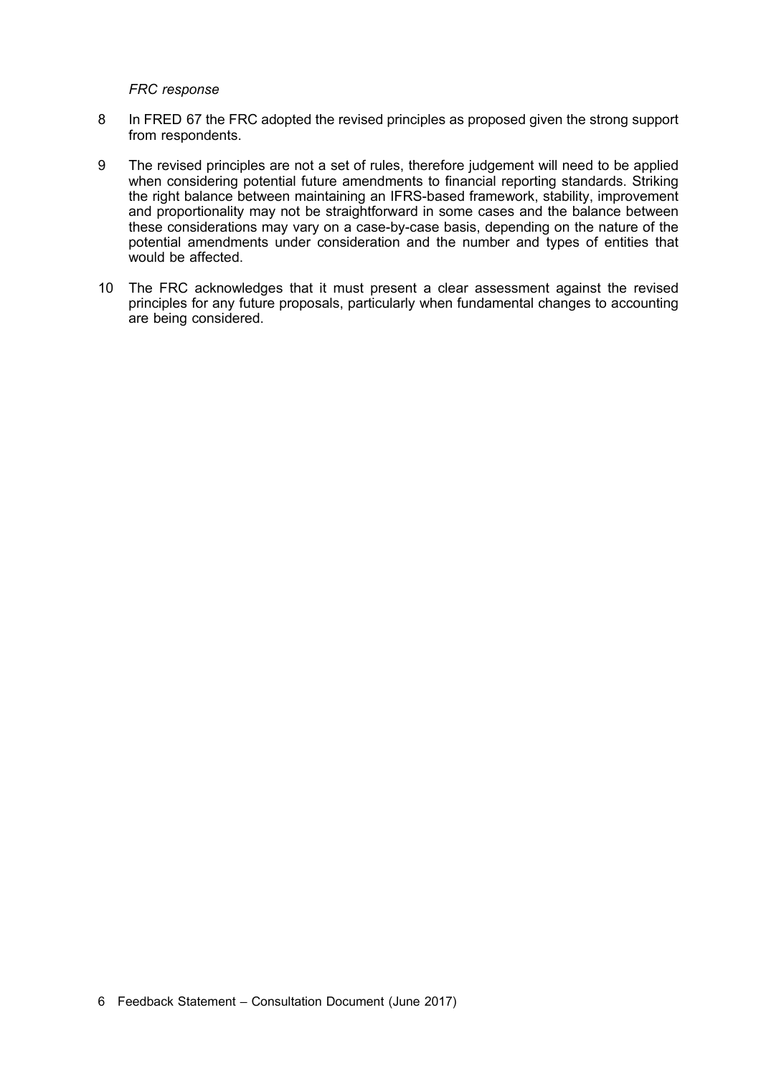#### FRC response

- 8 In FRED 67 the FRC adopted the revised principles as proposed given the strong support from respondents.
- 9 The revised principles are not a set of rules, therefore judgement will need to be applied when considering potential future amendments to financial reporting standards. Striking the right balance between maintaining an IFRS-based framework, stability, improvement and proportionality may not be straightforward in some cases and the balance between these considerations may vary on a case-by-case basis, depending on the nature of the potential amendments under consideration and the number and types of entities that would be affected.
- 10 The FRC acknowledges that it must present a clear assessment against the revised principles for any future proposals, particularly when fundamental changes to accounting are being considered.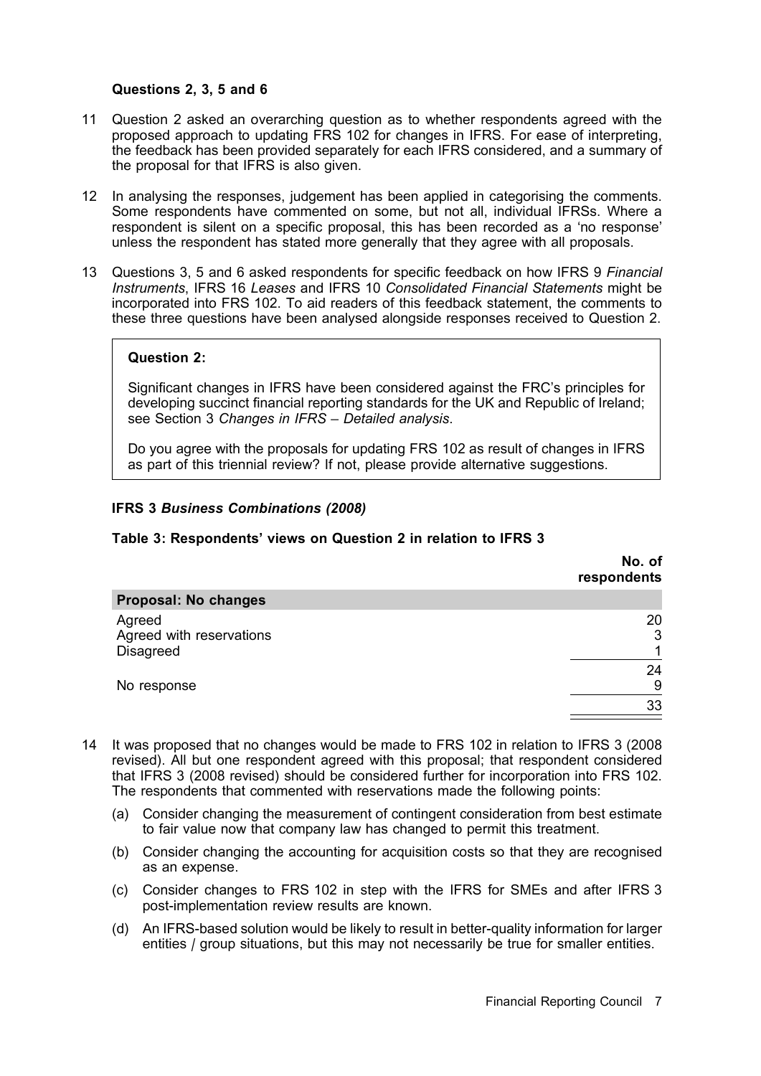#### Questions 2, 3, 5 and 6

- 11 Question 2 asked an overarching question as to whether respondents agreed with the proposed approach to updating FRS 102 for changes in IFRS. For ease of interpreting, the feedback has been provided separately for each IFRS considered, and a summary of the proposal for that IFRS is also given.
- 12 In analysing the responses, judgement has been applied in categorising the comments. Some respondents have commented on some, but not all, individual IFRSs. Where a respondent is silent on a specific proposal, this has been recorded as a 'no response' unless the respondent has stated more generally that they agree with all proposals.
- 13 Questions 3, 5 and 6 asked respondents for specific feedback on how IFRS 9 Financial Instruments, IFRS 16 Leases and IFRS 10 Consolidated Financial Statements might be incorporated into FRS 102. To aid readers of this feedback statement, the comments to these three questions have been analysed alongside responses received to Question 2.

#### Question 2:

Significant changes in IFRS have been considered against the FRC's principles for developing succinct financial reporting standards for the UK and Republic of Ireland; see Section 3 Changes in IFRS - Detailed analysis.

Do you agree with the proposals for updating FRS 102 as result of changes in IFRS as part of this triennial review? If not, please provide alternative suggestions.

#### IFRS 3 Business Combinations (2008)

#### Table 3: Respondents' views on Question 2 in relation to IFRS 3

|                                                 | No. of<br>respondents |
|-------------------------------------------------|-----------------------|
| <b>Proposal: No changes</b>                     |                       |
| Agreed<br>Agreed with reservations<br>Disagreed | 20<br>3               |
| No response                                     | 24<br>9               |
|                                                 | 33                    |

- 14 It was proposed that no changes would be made to FRS 102 in relation to IFRS 3 (2008 revised). All but one respondent agreed with this proposal; that respondent considered that IFRS 3 (2008 revised) should be considered further for incorporation into FRS 102. The respondents that commented with reservations made the following points:
	- (a) Consider changing the measurement of contingent consideration from best estimate to fair value now that company law has changed to permit this treatment.
	- (b) Consider changing the accounting for acquisition costs so that they are recognised as an expense.
	- (c) Consider changes to FRS 102 in step with the IFRS for SMEs and after IFRS 3 post-implementation review results are known.
	- (d) An IFRS-based solution would be likely to result in better-quality information for larger entities / group situations, but this may not necessarily be true for smaller entities.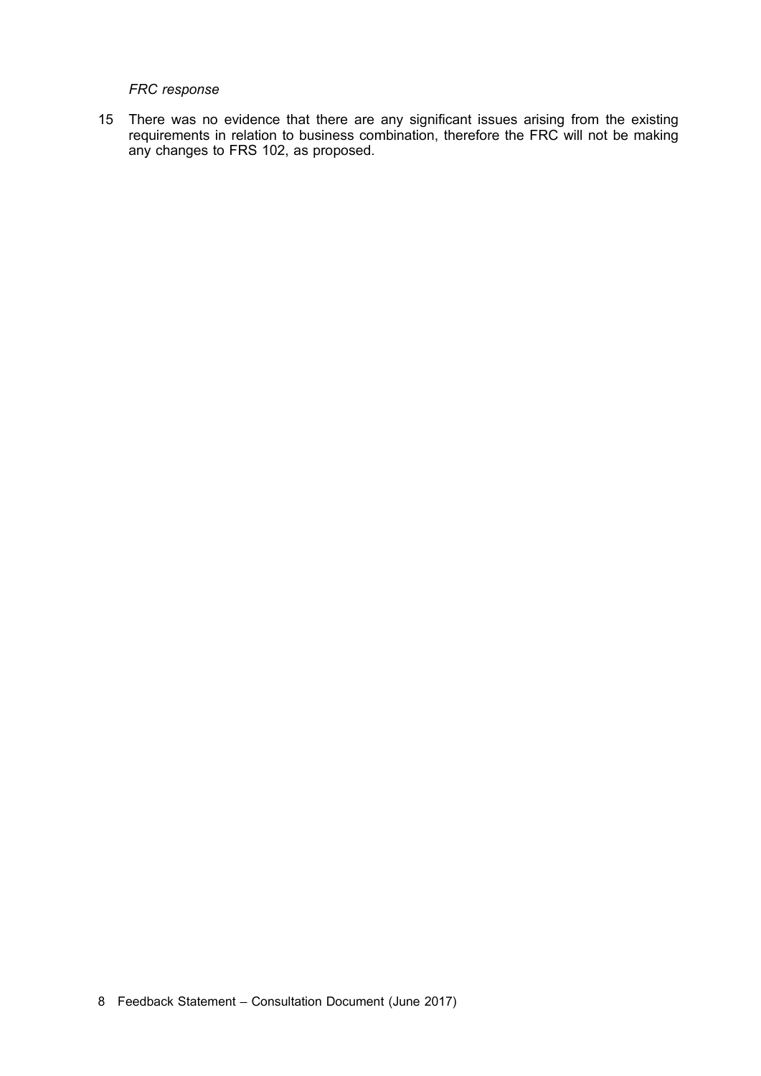FRC response

15 There was no evidence that there are any significant issues arising from the existing requirements in relation to business combination, therefore the FRC will not be making any changes to FRS 102, as proposed.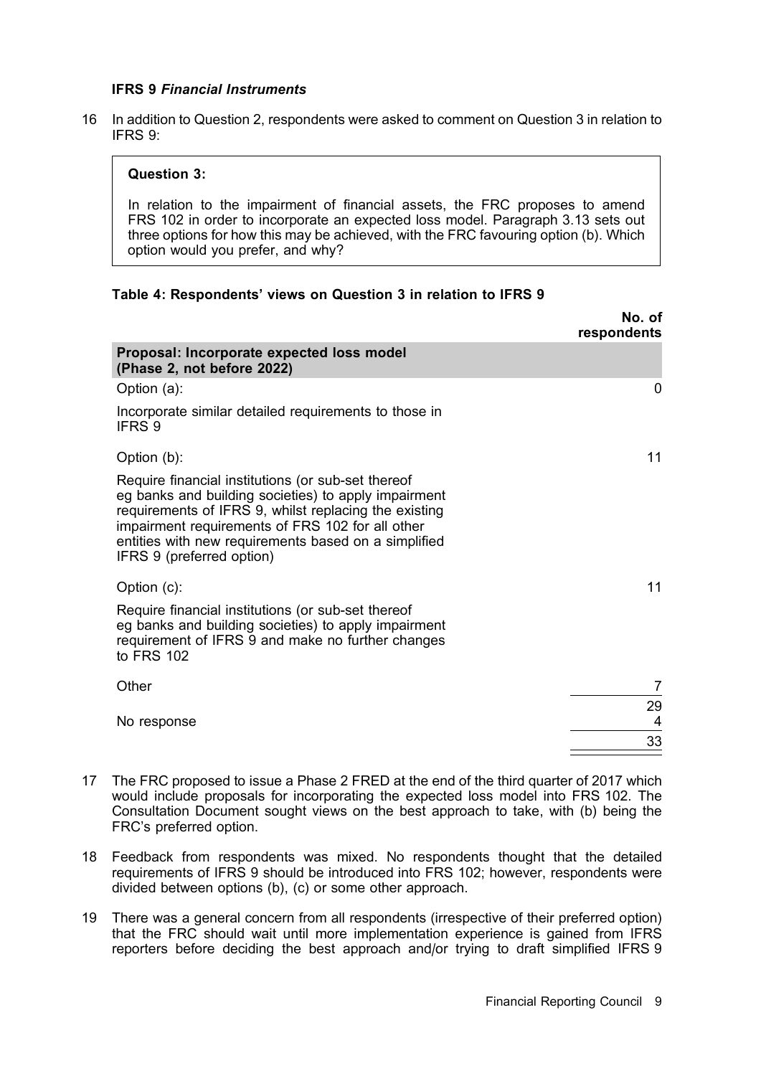#### IFRS 9 Financial Instruments

16 In addition to Question 2, respondents were asked to comment on Question 3 in relation to IFRS 9:

#### Question 3:

In relation to the impairment of financial assets, the FRC proposes to amend FRS 102 in order to incorporate an expected loss model. Paragraph 3.13 sets out three options for how this may be achieved, with the FRC favouring option (b). Which option would you prefer, and why?

#### Table 4: Respondents' views on Question 3 in relation to IFRS 9

| Proposal: Incorporate expected loss model<br>(Phase 2, not before 2022)<br>Option (a):                                                                                                                                                                                                                       | $\Omega$ |
|--------------------------------------------------------------------------------------------------------------------------------------------------------------------------------------------------------------------------------------------------------------------------------------------------------------|----------|
|                                                                                                                                                                                                                                                                                                              |          |
|                                                                                                                                                                                                                                                                                                              |          |
| Incorporate similar detailed requirements to those in<br>IFRS 9                                                                                                                                                                                                                                              |          |
| Option (b):                                                                                                                                                                                                                                                                                                  | 11       |
| Require financial institutions (or sub-set thereof<br>eg banks and building societies) to apply impairment<br>requirements of IFRS 9, whilst replacing the existing<br>impairment requirements of FRS 102 for all other<br>entities with new requirements based on a simplified<br>IFRS 9 (preferred option) |          |
| Option (c):                                                                                                                                                                                                                                                                                                  | 11       |
| Require financial institutions (or sub-set thereof<br>eg banks and building societies) to apply impairment<br>requirement of IFRS 9 and make no further changes<br>to FRS 102                                                                                                                                |          |
| Other                                                                                                                                                                                                                                                                                                        | 7        |
| No response                                                                                                                                                                                                                                                                                                  | 29       |
|                                                                                                                                                                                                                                                                                                              | 33       |

- 17 The FRC proposed to issue a Phase 2 FRED at the end of the third quarter of 2017 which would include proposals for incorporating the expected loss model into FRS 102. The Consultation Document sought views on the best approach to take, with (b) being the FRC's preferred option.
- 18 Feedback from respondents was mixed. No respondents thought that the detailed requirements of IFRS 9 should be introduced into FRS 102; however, respondents were divided between options (b), (c) or some other approach.
- 19 There was a general concern from all respondents (irrespective of their preferred option) that the FRC should wait until more implementation experience is gained from IFRS reporters before deciding the best approach and/or trying to draft simplified IFRS 9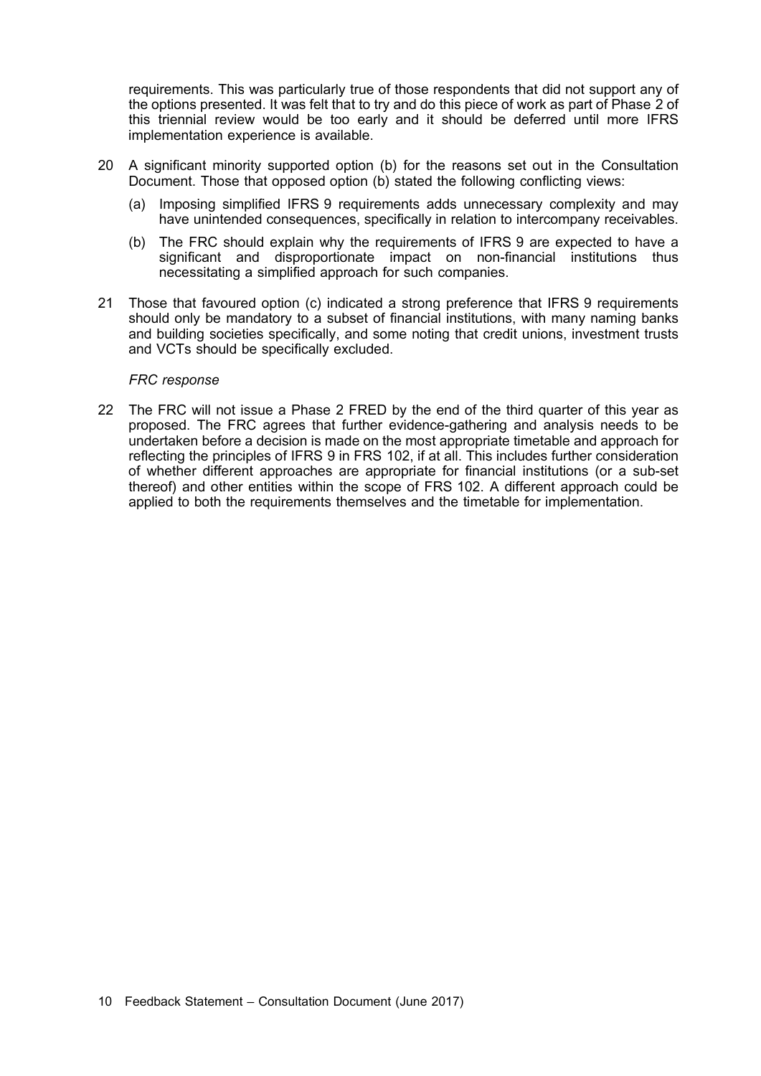requirements. This was particularly true of those respondents that did not support any of the options presented. It was felt that to try and do this piece of work as part of Phase 2 of this triennial review would be too early and it should be deferred until more IFRS implementation experience is available.

- 20 A significant minority supported option (b) for the reasons set out in the Consultation Document. Those that opposed option (b) stated the following conflicting views:
	- (a) Imposing simplified IFRS 9 requirements adds unnecessary complexity and may have unintended consequences, specifically in relation to intercompany receivables.
	- (b) The FRC should explain why the requirements of IFRS 9 are expected to have a significant and disproportionate impact on non-financial institutions thus necessitating a simplified approach for such companies.
- 21 Those that favoured option (c) indicated a strong preference that IFRS 9 requirements should only be mandatory to a subset of financial institutions, with many naming banks and building societies specifically, and some noting that credit unions, investment trusts and VCTs should be specifically excluded.

#### FRC response

22 The FRC will not issue a Phase 2 FRED by the end of the third quarter of this year as proposed. The FRC agrees that further evidence-gathering and analysis needs to be undertaken before a decision is made on the most appropriate timetable and approach for reflecting the principles of IFRS 9 in FRS 102, if at all. This includes further consideration of whether different approaches are appropriate for financial institutions (or a sub-set thereof) and other entities within the scope of FRS 102. A different approach could be applied to both the requirements themselves and the timetable for implementation.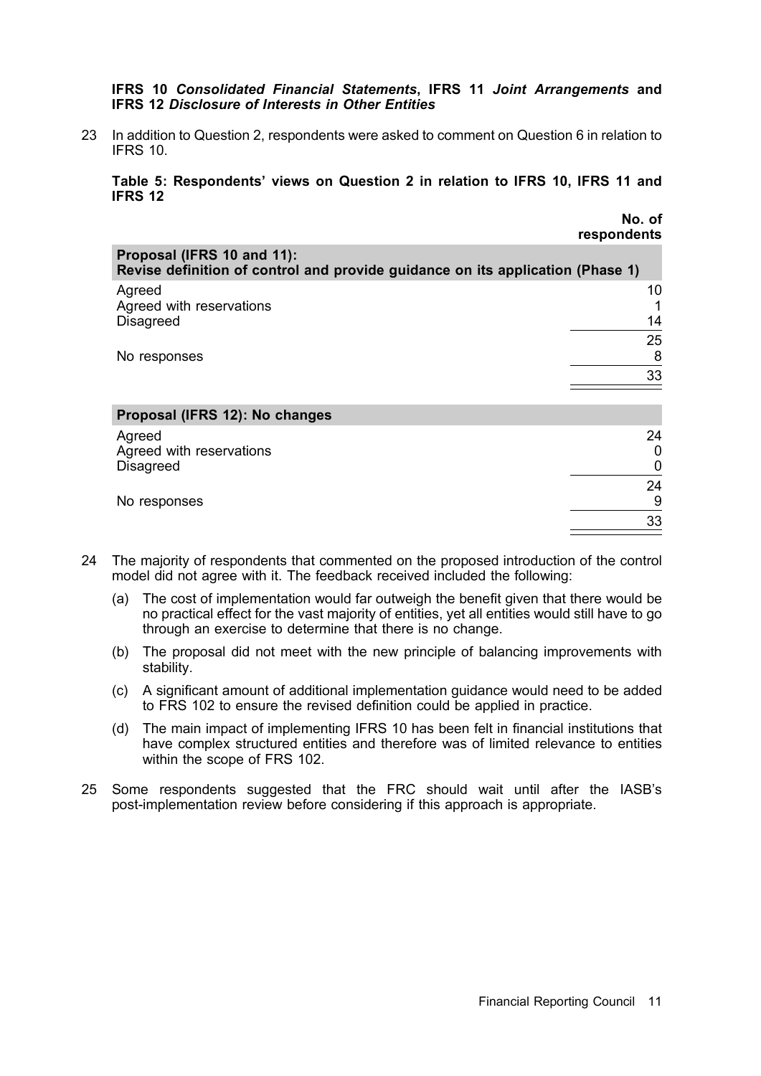#### IFRS 10 Consolidated Financial Statements, IFRS 11 Joint Arrangements and IFRS 12 Disclosure of Interests in Other Entities

23 In addition to Question 2, respondents were asked to comment on Question 6 in relation to IFRS 10.

Table 5: Respondents' views on Question 2 in relation to IFRS 10, IFRS 11 and IFRS 12

|                                                                                                              | No. of<br>respondents |
|--------------------------------------------------------------------------------------------------------------|-----------------------|
| Proposal (IFRS 10 and 11):<br>Revise definition of control and provide guidance on its application (Phase 1) |                       |
| Agreed<br>Agreed with reservations<br><b>Disagreed</b>                                                       | 10<br>14              |
| No responses                                                                                                 | 25<br>8<br>33         |
| Proposal (IFRS 12): No changes                                                                               |                       |
| Agreed<br>Agreed with reservations<br><b>Disagreed</b>                                                       | 24<br>0<br>0<br>24    |
| No responses                                                                                                 | 9                     |
|                                                                                                              | 33                    |

- 24 The majority of respondents that commented on the proposed introduction of the control model did not agree with it. The feedback received included the following:
	- (a) The cost of implementation would far outweigh the benefit given that there would be no practical effect for the vast majority of entities, yet all entities would still have to go through an exercise to determine that there is no change.
	- (b) The proposal did not meet with the new principle of balancing improvements with stability.
	- (c) A significant amount of additional implementation guidance would need to be added to FRS 102 to ensure the revised definition could be applied in practice.
	- (d) The main impact of implementing IFRS 10 has been felt in financial institutions that have complex structured entities and therefore was of limited relevance to entities within the scope of FRS 102.
- 25 Some respondents suggested that the FRC should wait until after the IASB's post-implementation review before considering if this approach is appropriate.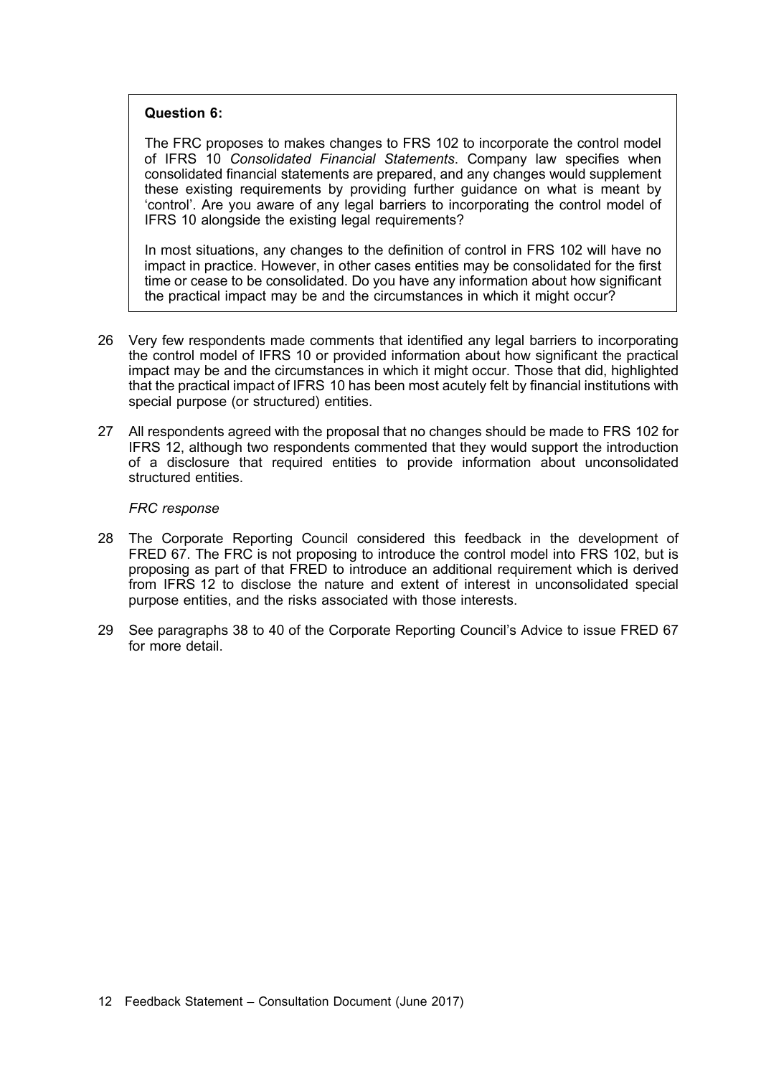#### Question 6:

The FRC proposes to makes changes to FRS 102 to incorporate the control model of IFRS 10 Consolidated Financial Statements. Company law specifies when consolidated financial statements are prepared, and any changes would supplement these existing requirements by providing further guidance on what is meant by 'control'. Are you aware of any legal barriers to incorporating the control model of IFRS 10 alongside the existing legal requirements?

In most situations, any changes to the definition of control in FRS 102 will have no impact in practice. However, in other cases entities may be consolidated for the first time or cease to be consolidated. Do you have any information about how significant the practical impact may be and the circumstances in which it might occur?

- 26 Very few respondents made comments that identified any legal barriers to incorporating the control model of IFRS 10 or provided information about how significant the practical impact may be and the circumstances in which it might occur. Those that did, highlighted that the practical impact of IFRS 10 has been most acutely felt by financial institutions with special purpose (or structured) entities.
- 27 All respondents agreed with the proposal that no changes should be made to FRS 102 for IFRS 12, although two respondents commented that they would support the introduction of a disclosure that required entities to provide information about unconsolidated structured entities.

#### FRC response

- 28 The Corporate Reporting Council considered this feedback in the development of FRED 67. The FRC is not proposing to introduce the control model into FRS 102, but is proposing as part of that FRED to introduce an additional requirement which is derived from IFRS 12 to disclose the nature and extent of interest in unconsolidated special purpose entities, and the risks associated with those interests.
- 29 See paragraphs 38 to 40 of the Corporate Reporting Council's Advice to issue FRED 67 for more detail.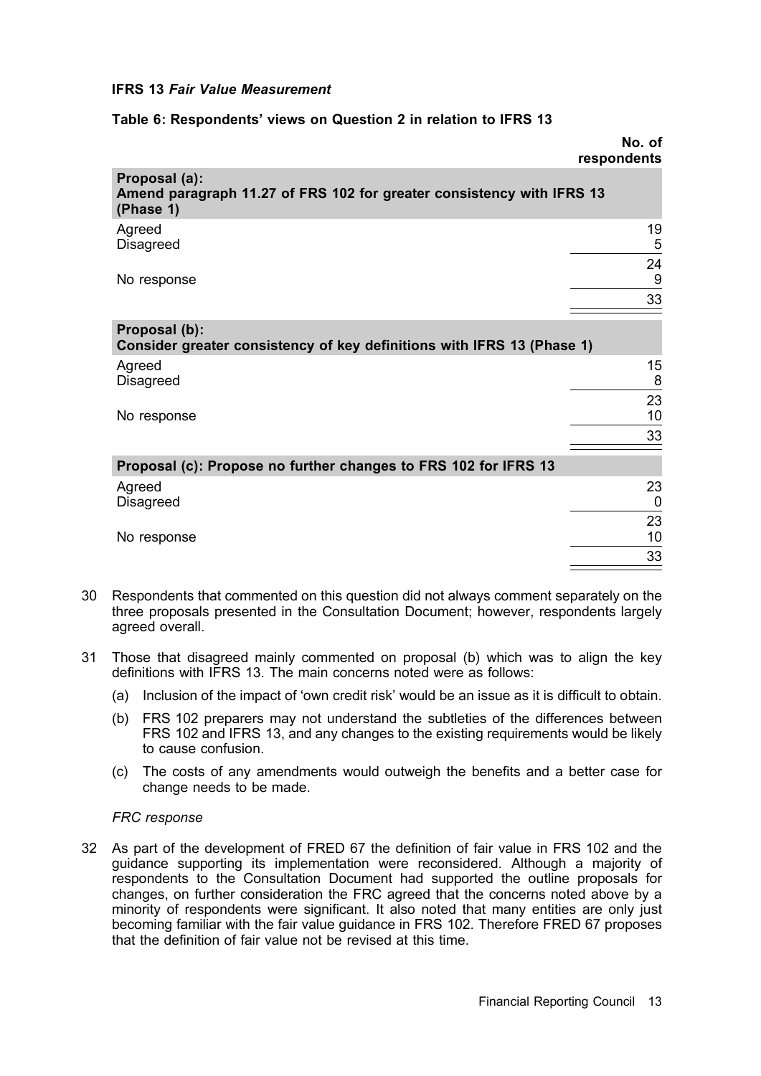#### IFRS 13 Fair Value Measurement

#### Table 6: Respondents' views on Question 2 in relation to IFRS 13

|                                                                                                     | respondents       |
|-----------------------------------------------------------------------------------------------------|-------------------|
| Proposal (a):<br>Amend paragraph 11.27 of FRS 102 for greater consistency with IFRS 13<br>(Phase 1) |                   |
| Agreed<br><b>Disagreed</b>                                                                          | 19<br>5           |
| No response                                                                                         | 24<br>9           |
|                                                                                                     | 33                |
| Proposal (b):<br>Consider greater consistency of key definitions with IFRS 13 (Phase 1)             |                   |
| Agreed<br><b>Disagreed</b>                                                                          | 15<br>8           |
| No response                                                                                         | 23<br>10          |
|                                                                                                     | 33                |
| Proposal (c): Propose no further changes to FRS 102 for IFRS 13                                     |                   |
| Agreed<br><b>Disagreed</b>                                                                          | 23<br>$\mathbf 0$ |
| No response                                                                                         | 23<br>10          |
|                                                                                                     | 33                |

- 30 Respondents that commented on this question did not always comment separately on the three proposals presented in the Consultation Document; however, respondents largely agreed overall.
- 31 Those that disagreed mainly commented on proposal (b) which was to align the key definitions with IFRS 13. The main concerns noted were as follows:
	- (a) Inclusion of the impact of 'own credit risk' would be an issue as it is difficult to obtain.
	- (b) FRS 102 preparers may not understand the subtleties of the differences between FRS 102 and IFRS 13, and any changes to the existing requirements would be likely to cause confusion.
	- (c) The costs of any amendments would outweigh the benefits and a better case for change needs to be made.

#### FRC response

32 As part of the development of FRED 67 the definition of fair value in FRS 102 and the guidance supporting its implementation were reconsidered. Although a majority of respondents to the Consultation Document had supported the outline proposals for changes, on further consideration the FRC agreed that the concerns noted above by a minority of respondents were significant. It also noted that many entities are only just becoming familiar with the fair value guidance in FRS 102. Therefore FRED 67 proposes that the definition of fair value not be revised at this time.

No. of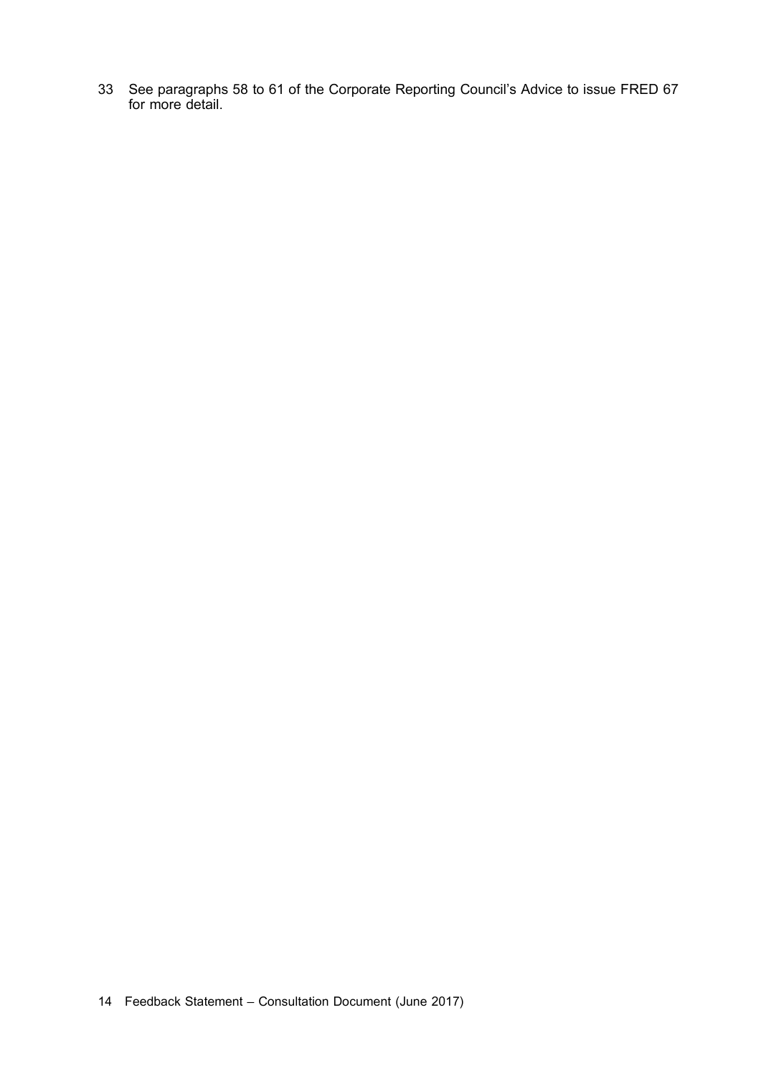33 See paragraphs 58 to 61 of the Corporate Reporting Council's Advice to issue FRED 67 for more detail.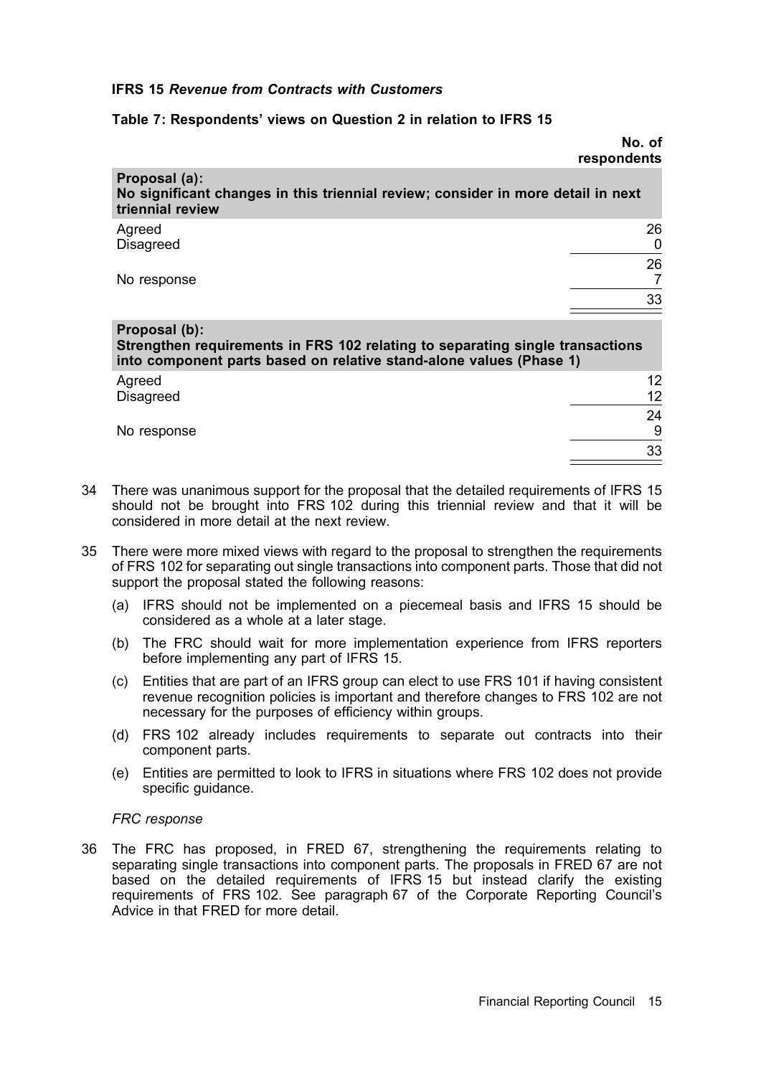#### IFRS 15 Revenue from Contracts with Customers

#### Table 7: Respondents' views on Question 2 in relation to IFRS 15

|                                                                                                                                                                       | No. of<br>respondents |
|-----------------------------------------------------------------------------------------------------------------------------------------------------------------------|-----------------------|
| Proposal (a):<br>No significant changes in this triennial review; consider in more detail in next<br>triennial review                                                 |                       |
| Agreed                                                                                                                                                                | 26                    |
| <b>Disagreed</b>                                                                                                                                                      | 0                     |
|                                                                                                                                                                       | 26                    |
| No response                                                                                                                                                           |                       |
|                                                                                                                                                                       | 33                    |
| Proposal (b):<br>Strengthen requirements in FRS 102 relating to separating single transactions<br>into component parts based on relative stand-alone values (Phase 1) |                       |
| Agreed                                                                                                                                                                | 12                    |
| <b>Disagreed</b>                                                                                                                                                      | 12                    |
|                                                                                                                                                                       | 24                    |
| No response                                                                                                                                                           | 9                     |
|                                                                                                                                                                       | 33                    |

- 34 There was unanimous support for the proposal that the detailed requirements of IFRS 15 should not be brought into FRS 102 during this triennial review and that it will be considered in more detail at the next review.
- 35 There were more mixed views with regard to the proposal to strengthen the requirements of FRS 102 for separating out single transactions into component parts. Those that did not support the proposal stated the following reasons:
	- (a) IFRS should not be implemented on a piecemeal basis and IFRS 15 should be considered as a whole at a later stage.
	- (b) The FRC should wait for more implementation experience from IFRS reporters before implementing any part of IFRS 15.
	- (c) Entities that are part of an IFRS group can elect to use FRS 101 if having consistent revenue recognition policies is important and therefore changes to FRS 102 are not necessary for the purposes of efficiency within groups.
	- (d) FRS 102 already includes requirements to separate out contracts into their component parts.
	- (e) Entities are permitted to look to IFRS in situations where FRS 102 does not provide specific guidance.

#### FRC response

36 The FRC has proposed, in FRED 67, strengthening the requirements relating to separating single transactions into component parts. The proposals in FRED 67 are not based on the detailed requirements of IFRS 15 but instead clarify the existing requirements of FRS 102. See paragraph 67 of the Corporate Reporting Council's Advice in that FRED for more detail.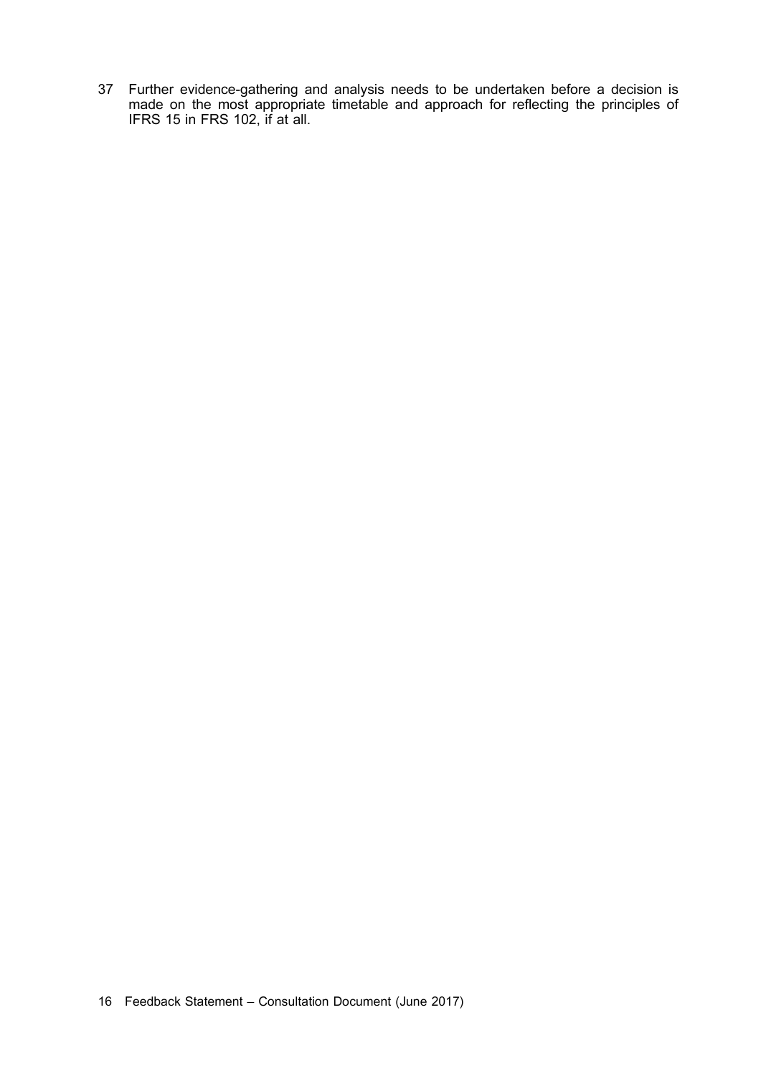37 Further evidence-gathering and analysis needs to be undertaken before a decision is made on the most appropriate timetable and approach for reflecting the principles of IFRS 15 in FRS 102, if at all.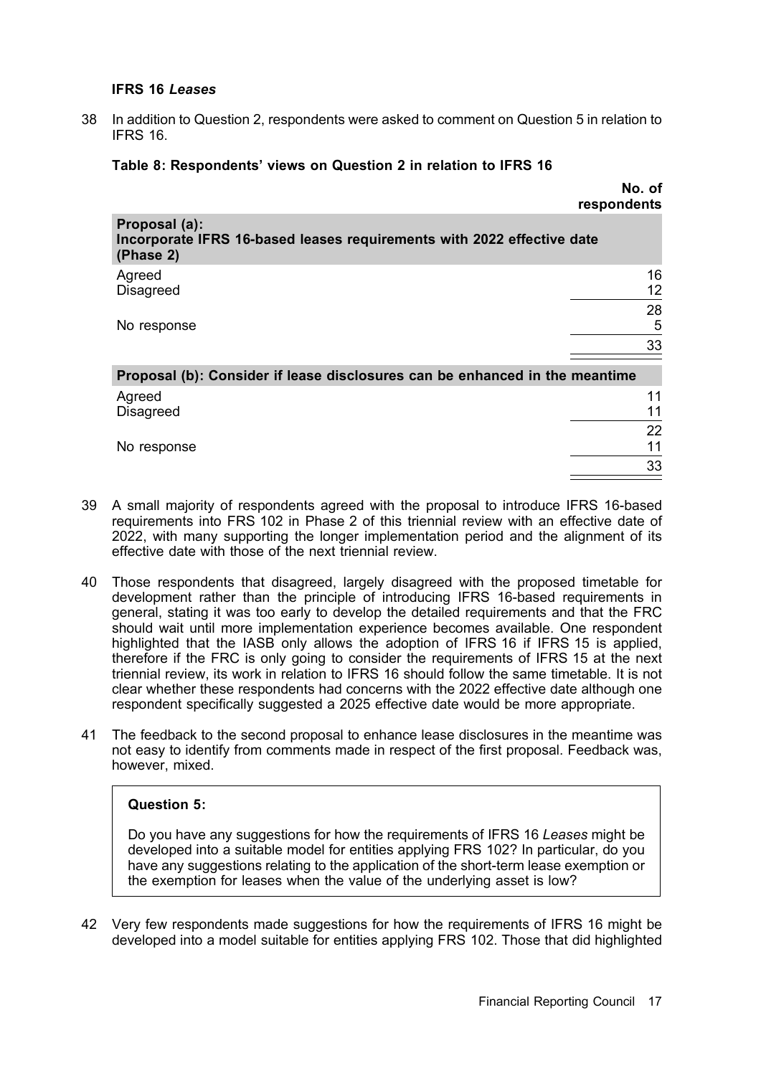#### IFRS 16 Leases

38 In addition to Question 2, respondents were asked to comment on Question 5 in relation to IFRS 16.

#### Table 8: Respondents' views on Question 2 in relation to IFRS 16

|                                                                                                      | No. of<br>respondents |
|------------------------------------------------------------------------------------------------------|-----------------------|
| Proposal (a):<br>Incorporate IFRS 16-based leases requirements with 2022 effective date<br>(Phase 2) |                       |
| Agreed<br><b>Disagreed</b>                                                                           | 16<br>12              |
| No response                                                                                          | 28<br>5               |
| Proposal (b): Consider if lease disclosures can be enhanced in the meantime                          | 33                    |
| Agreed<br><b>Disagreed</b>                                                                           | 11<br>11              |
| No response                                                                                          | 22<br>11              |

- 39 A small majority of respondents agreed with the proposal to introduce IFRS 16-based requirements into FRS 102 in Phase 2 of this triennial review with an effective date of 2022, with many supporting the longer implementation period and the alignment of its effective date with those of the next triennial review.
- 40 Those respondents that disagreed, largely disagreed with the proposed timetable for development rather than the principle of introducing IFRS 16-based requirements in general, stating it was too early to develop the detailed requirements and that the FRC should wait until more implementation experience becomes available. One respondent highlighted that the IASB only allows the adoption of IFRS 16 if IFRS 15 is applied, therefore if the FRC is only going to consider the requirements of IFRS 15 at the next triennial review, its work in relation to IFRS 16 should follow the same timetable. It is not clear whether these respondents had concerns with the 2022 effective date although one respondent specifically suggested a 2025 effective date would be more appropriate.
- 41 The feedback to the second proposal to enhance lease disclosures in the meantime was not easy to identify from comments made in respect of the first proposal. Feedback was, however, mixed.

#### Question 5:

Do you have any suggestions for how the requirements of IFRS 16 Leases might be developed into a suitable model for entities applying FRS 102? In particular, do you have any suggestions relating to the application of the short-term lease exemption or the exemption for leases when the value of the underlying asset is low?

42 Very few respondents made suggestions for how the requirements of IFRS 16 might be developed into a model suitable for entities applying FRS 102. Those that did highlighted

33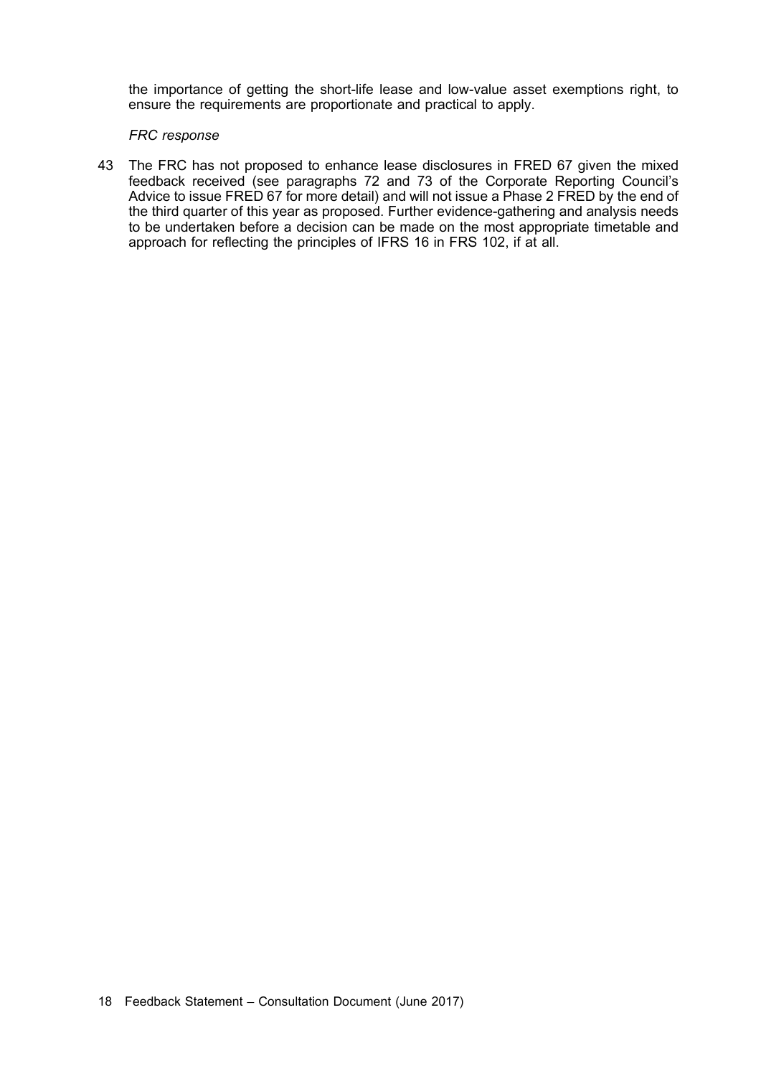the importance of getting the short-life lease and low-value asset exemptions right, to ensure the requirements are proportionate and practical to apply.

#### FRC response

43 The FRC has not proposed to enhance lease disclosures in FRED 67 given the mixed feedback received (see paragraphs 72 and 73 of the Corporate Reporting Council's Advice to issue FRED 67 for more detail) and will not issue a Phase 2 FRED by the end of the third quarter of this year as proposed. Further evidence-gathering and analysis needs to be undertaken before a decision can be made on the most appropriate timetable and approach for reflecting the principles of IFRS 16 in FRS 102, if at all.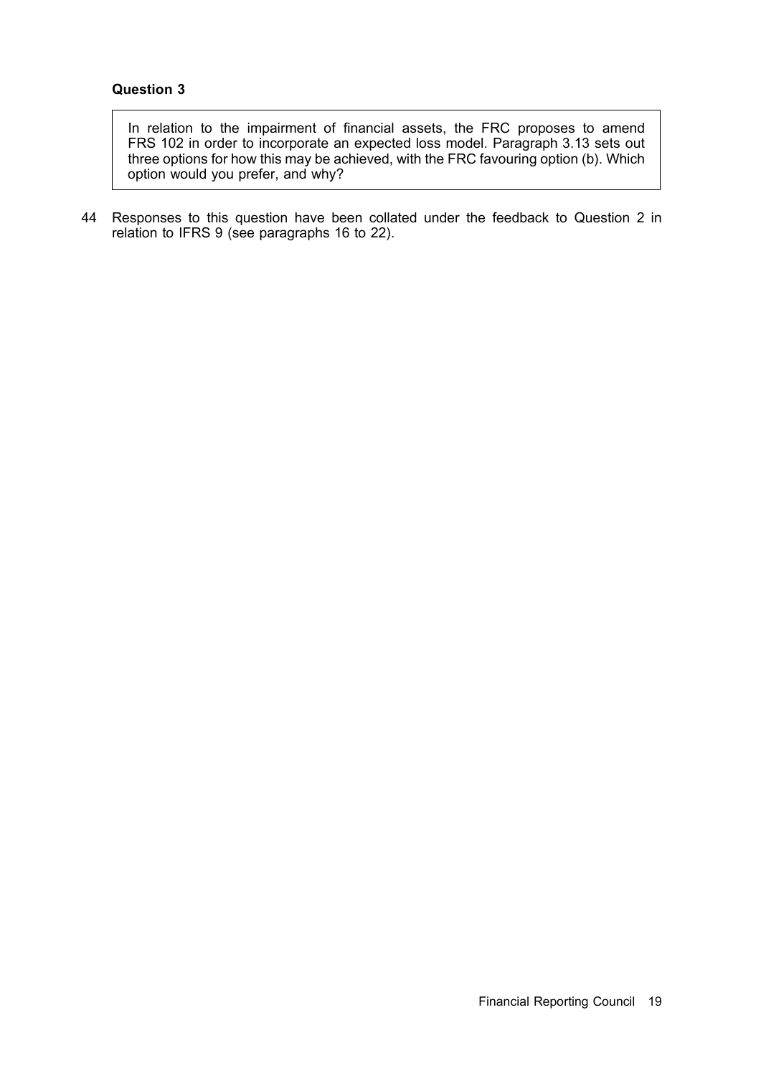In relation to the impairment of financial assets, the FRC proposes to amend FRS 102 in order to incorporate an expected loss model. Paragraph 3.13 sets out three options for how this may be achieved, with the FRC favouring option (b). Which option would you prefer, and why?

44 Responses to this question have been collated under the feedback to Question 2 in relation to IFRS 9 (see paragraphs 16 to 22).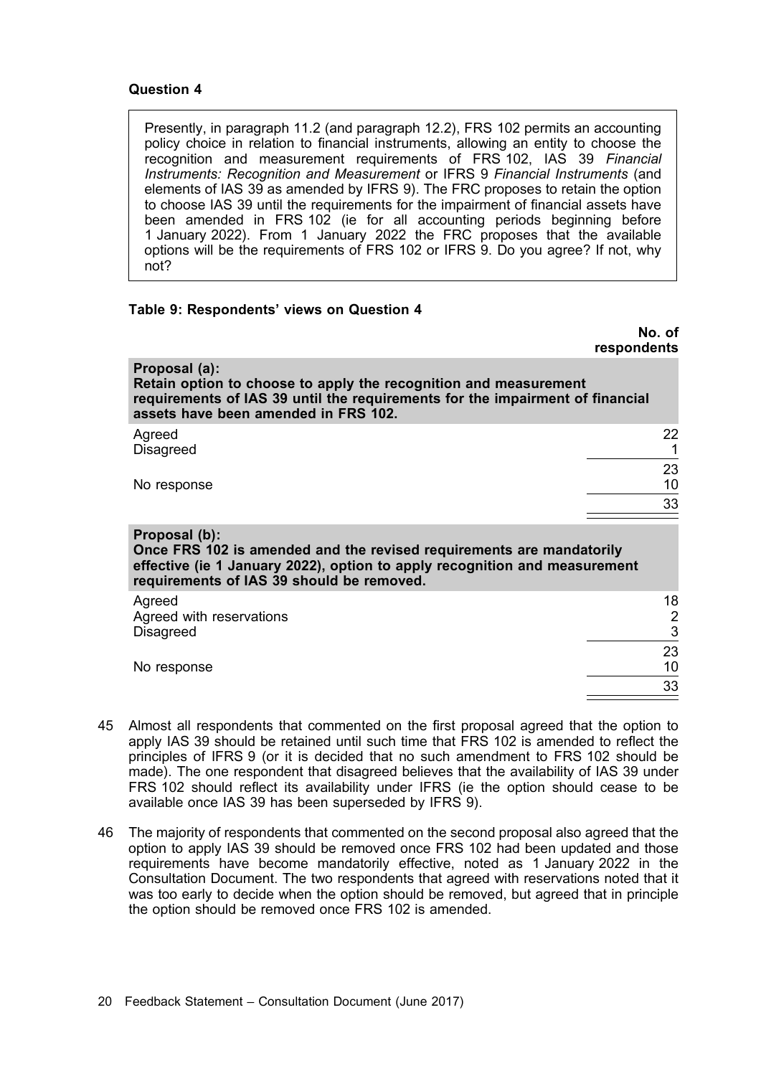Presently, in paragraph 11.2 (and paragraph 12.2), FRS 102 permits an accounting policy choice in relation to financial instruments, allowing an entity to choose the recognition and measurement requirements of FRS 102, IAS 39 Financial Instruments: Recognition and Measurement or IFRS 9 Financial Instruments (and elements of IAS 39 as amended by IFRS 9). The FRC proposes to retain the option to choose IAS 39 until the requirements for the impairment of financial assets have been amended in FRS 102 (ie for all accounting periods beginning before 1 January 2022). From 1 January 2022 the FRC proposes that the available options will be the requirements of FRS 102 or IFRS 9. Do you agree? If not, why not?

#### Table 9: Respondents' views on Question 4

|                                                                                                                                                                                                                  | No. of<br>respondents     |
|------------------------------------------------------------------------------------------------------------------------------------------------------------------------------------------------------------------|---------------------------|
| Proposal (a):<br>Retain option to choose to apply the recognition and measurement<br>requirements of IAS 39 until the requirements for the impairment of financial<br>assets have been amended in FRS 102.       |                           |
| Agreed<br><b>Disagreed</b>                                                                                                                                                                                       | 22                        |
| No response                                                                                                                                                                                                      | 23<br>10                  |
|                                                                                                                                                                                                                  | 33                        |
| Proposal (b):<br>Once FRS 102 is amended and the revised requirements are mandatorily<br>effective (ie 1 January 2022), option to apply recognition and measurement<br>requirements of IAS 39 should be removed. |                           |
| Agreed<br>Agreed with reservations<br>Disagreed                                                                                                                                                                  | 18<br>$\overline{2}$<br>3 |
| No response                                                                                                                                                                                                      | 23<br>10                  |
|                                                                                                                                                                                                                  | 33                        |

- 45 Almost all respondents that commented on the first proposal agreed that the option to apply IAS 39 should be retained until such time that FRS 102 is amended to reflect the principles of IFRS 9 (or it is decided that no such amendment to FRS 102 should be made). The one respondent that disagreed believes that the availability of IAS 39 under FRS 102 should reflect its availability under IFRS (ie the option should cease to be available once IAS 39 has been superseded by IFRS 9).
- 46 The majority of respondents that commented on the second proposal also agreed that the option to apply IAS 39 should be removed once FRS 102 had been updated and those requirements have become mandatorily effective, noted as 1 January 2022 in the Consultation Document. The two respondents that agreed with reservations noted that it was too early to decide when the option should be removed, but agreed that in principle the option should be removed once FRS 102 is amended.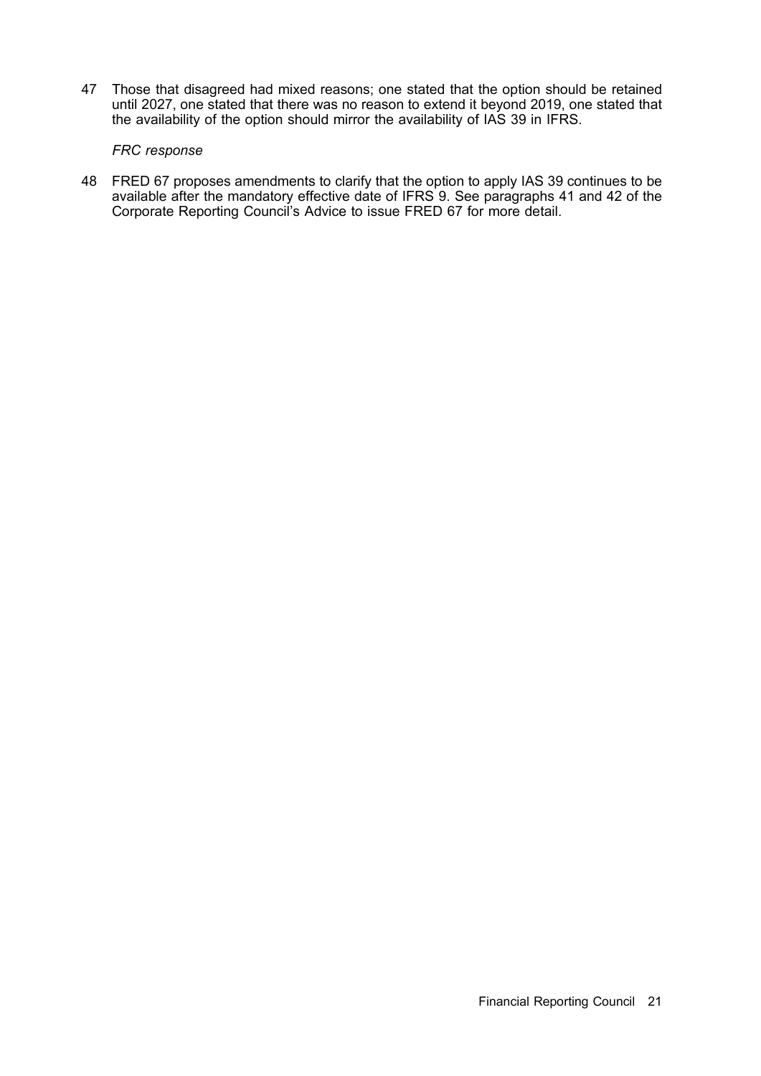47 Those that disagreed had mixed reasons; one stated that the option should be retained until 2027, one stated that there was no reason to extend it beyond 2019, one stated that the availability of the option should mirror the availability of IAS 39 in IFRS.

#### FRC response

48 FRED 67 proposes amendments to clarify that the option to apply IAS 39 continues to be available after the mandatory effective date of IFRS 9. See paragraphs 41 and 42 of the Corporate Reporting Council's Advice to issue FRED 67 for more detail.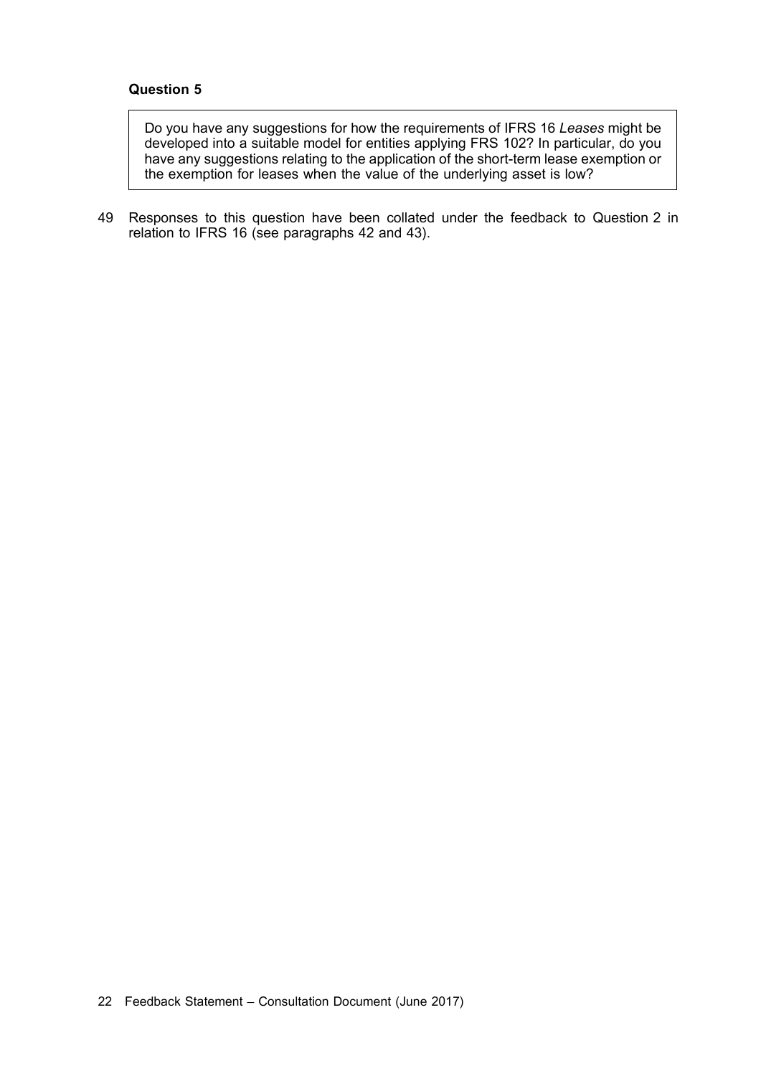Do you have any suggestions for how the requirements of IFRS 16 Leases might be developed into a suitable model for entities applying FRS 102? In particular, do you have any suggestions relating to the application of the short-term lease exemption or the exemption for leases when the value of the underlying asset is low?

49 Responses to this question have been collated under the feedback to Question 2 in relation to IFRS 16 (see paragraphs 42 and 43).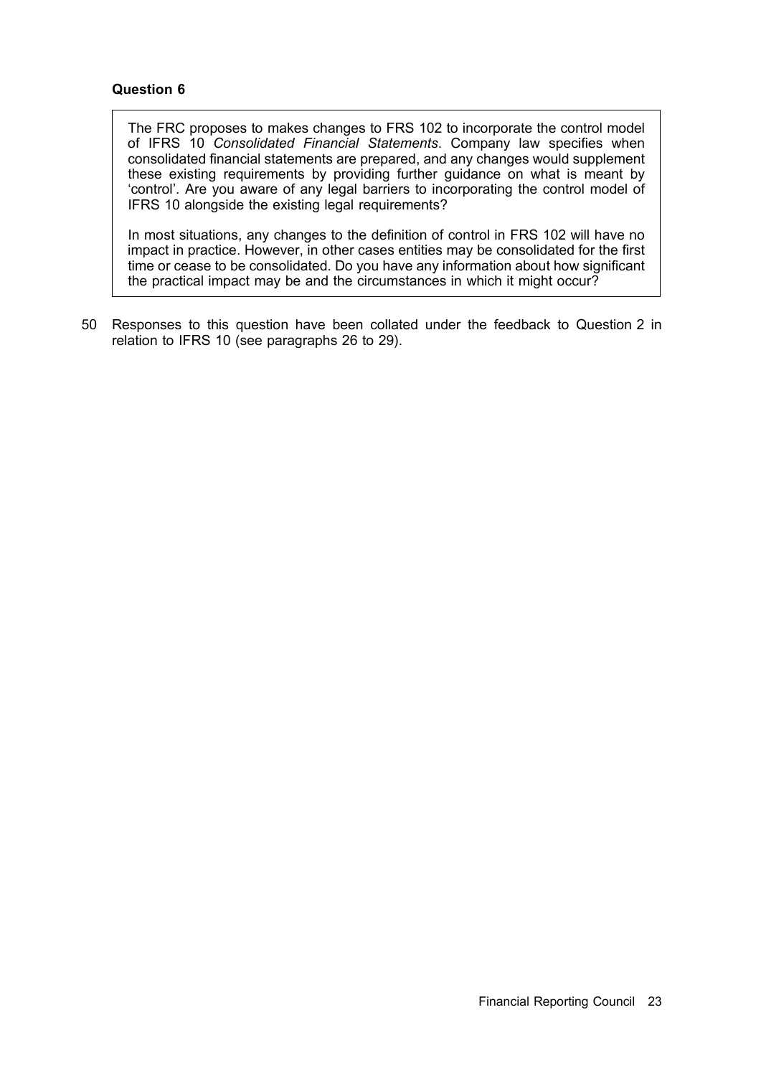The FRC proposes to makes changes to FRS 102 to incorporate the control model of IFRS 10 Consolidated Financial Statements. Company law specifies when consolidated financial statements are prepared, and any changes would supplement these existing requirements by providing further guidance on what is meant by 'control'. Are you aware of any legal barriers to incorporating the control model of IFRS 10 alongside the existing legal requirements?

In most situations, any changes to the definition of control in FRS 102 will have no impact in practice. However, in other cases entities may be consolidated for the first time or cease to be consolidated. Do you have any information about how significant the practical impact may be and the circumstances in which it might occur?

50 Responses to this question have been collated under the feedback to Question 2 in relation to IFRS 10 (see paragraphs 26 to 29).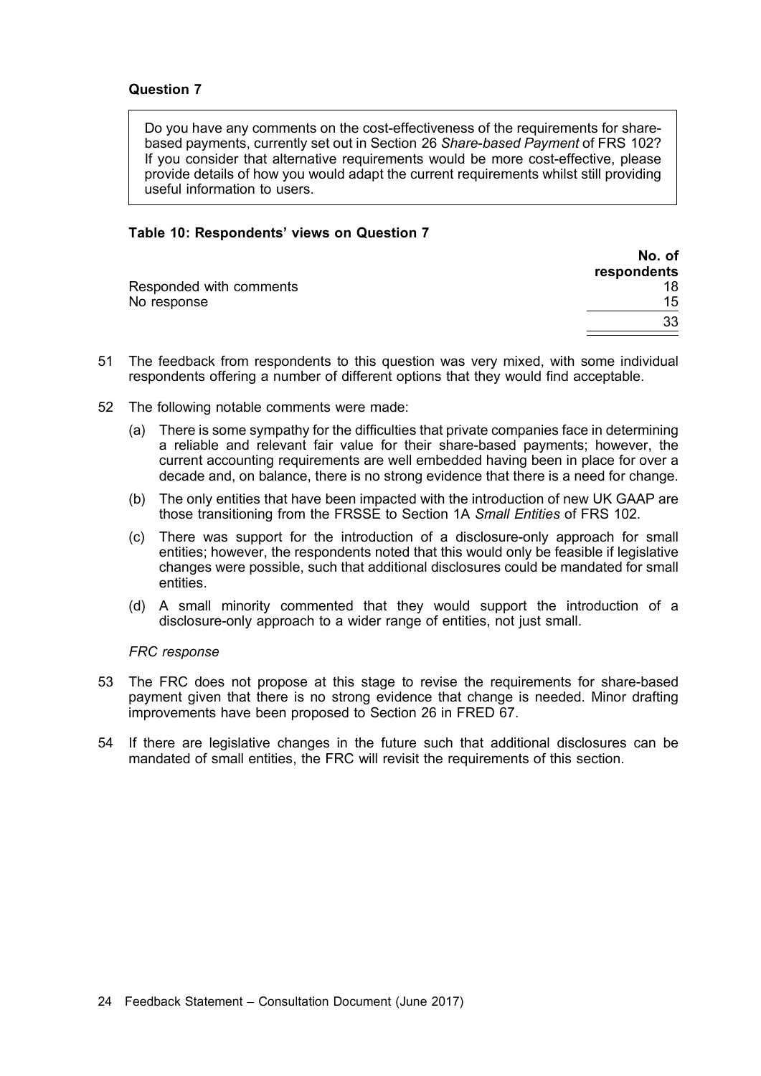Do you have any comments on the cost-effectiveness of the requirements for sharebased payments, currently set out in Section 26 Share-based Payment of FRS 102? If you consider that alternative requirements would be more cost-effective, please provide details of how you would adapt the current requirements whilst still providing useful information to users.

#### Table 10: Respondents' views on Question 7

|                         | No. of<br>respondents |
|-------------------------|-----------------------|
| Responded with comments | 18                    |
| No response             | 15                    |
|                         | 33                    |

- 51 The feedback from respondents to this question was very mixed, with some individual respondents offering a number of different options that they would find acceptable.
- 52 The following notable comments were made:
	- (a) There is some sympathy for the difficulties that private companies face in determining a reliable and relevant fair value for their share-based payments; however, the current accounting requirements are well embedded having been in place for over a decade and, on balance, there is no strong evidence that there is a need for change.
	- (b) The only entities that have been impacted with the introduction of new UK GAAP are those transitioning from the FRSSE to Section 1A Small Entities of FRS 102.
	- (c) There was support for the introduction of a disclosure-only approach for small entities; however, the respondents noted that this would only be feasible if legislative changes were possible, such that additional disclosures could be mandated for small entities.
	- (d) A small minority commented that they would support the introduction of a disclosure-only approach to a wider range of entities, not just small.

#### FRC response

- 53 The FRC does not propose at this stage to revise the requirements for share-based payment given that there is no strong evidence that change is needed. Minor drafting improvements have been proposed to Section 26 in FRED 67.
- 54 If there are legislative changes in the future such that additional disclosures can be mandated of small entities, the FRC will revisit the requirements of this section.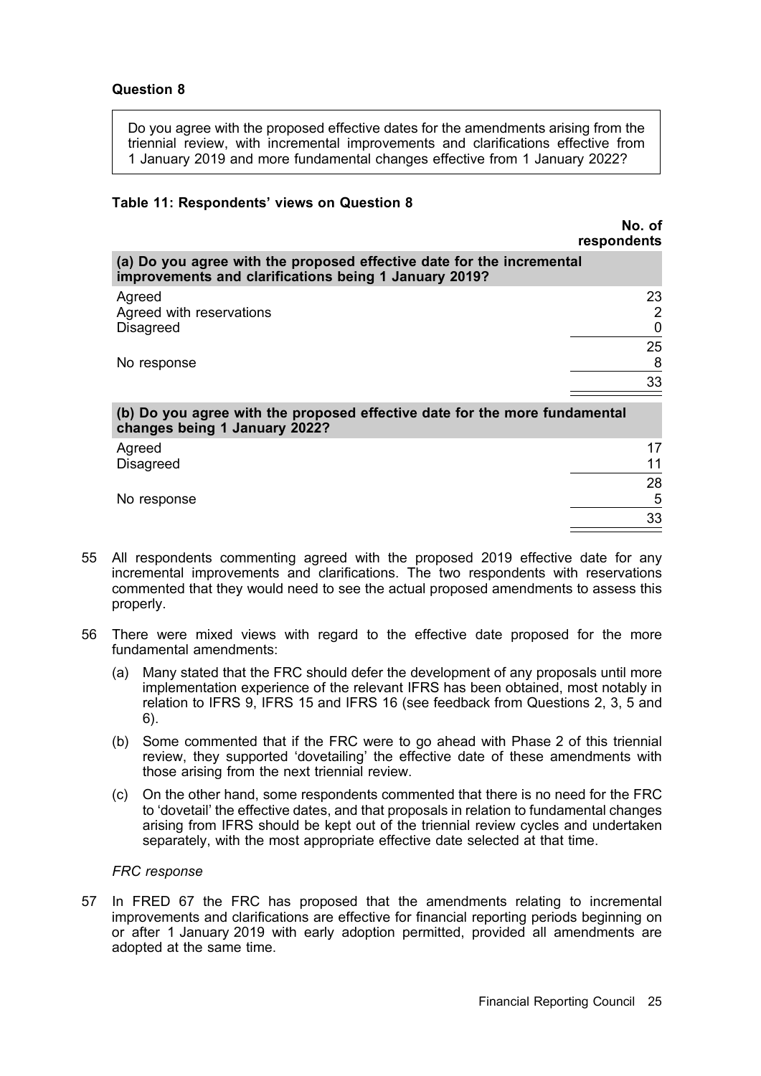Do you agree with the proposed effective dates for the amendments arising from the triennial review, with incremental improvements and clarifications effective from 1 January 2019 and more fundamental changes effective from 1 January 2022?

#### Table 11: Respondents' views on Question 8

|                                                                                                                                | No. of<br>respondents                  |
|--------------------------------------------------------------------------------------------------------------------------------|----------------------------------------|
| (a) Do you agree with the proposed effective date for the incremental<br>improvements and clarifications being 1 January 2019? |                                        |
| Agreed<br>Agreed with reservations<br><b>Disagreed</b>                                                                         | 23<br>$\overline{2}$<br>$\overline{0}$ |
| No response                                                                                                                    | 25<br>8<br>33                          |
| (b) Do you agree with the proposed effective date for the more fundamental<br>changes being 1 January 2022?                    |                                        |
| Agreed<br><b>Disagreed</b>                                                                                                     | 17<br>11                               |
| No response                                                                                                                    | 28<br>5                                |

- 55 All respondents commenting agreed with the proposed 2019 effective date for any incremental improvements and clarifications. The two respondents with reservations commented that they would need to see the actual proposed amendments to assess this properly.
- 56 There were mixed views with regard to the effective date proposed for the more fundamental amendments:
	- (a) Many stated that the FRC should defer the development of any proposals until more implementation experience of the relevant IFRS has been obtained, most notably in relation to IFRS 9, IFRS 15 and IFRS 16 (see feedback from Questions 2, 3, 5 and 6).
	- (b) Some commented that if the FRC were to go ahead with Phase 2 of this triennial review, they supported 'dovetailing' the effective date of these amendments with those arising from the next triennial review.
	- (c) On the other hand, some respondents commented that there is no need for the FRC to 'dovetail' the effective dates, and that proposals in relation to fundamental changes arising from IFRS should be kept out of the triennial review cycles and undertaken separately, with the most appropriate effective date selected at that time.

#### FRC response

57 In FRED 67 the FRC has proposed that the amendments relating to incremental improvements and clarifications are effective for financial reporting periods beginning on or after 1 January 2019 with early adoption permitted, provided all amendments are adopted at the same time.

33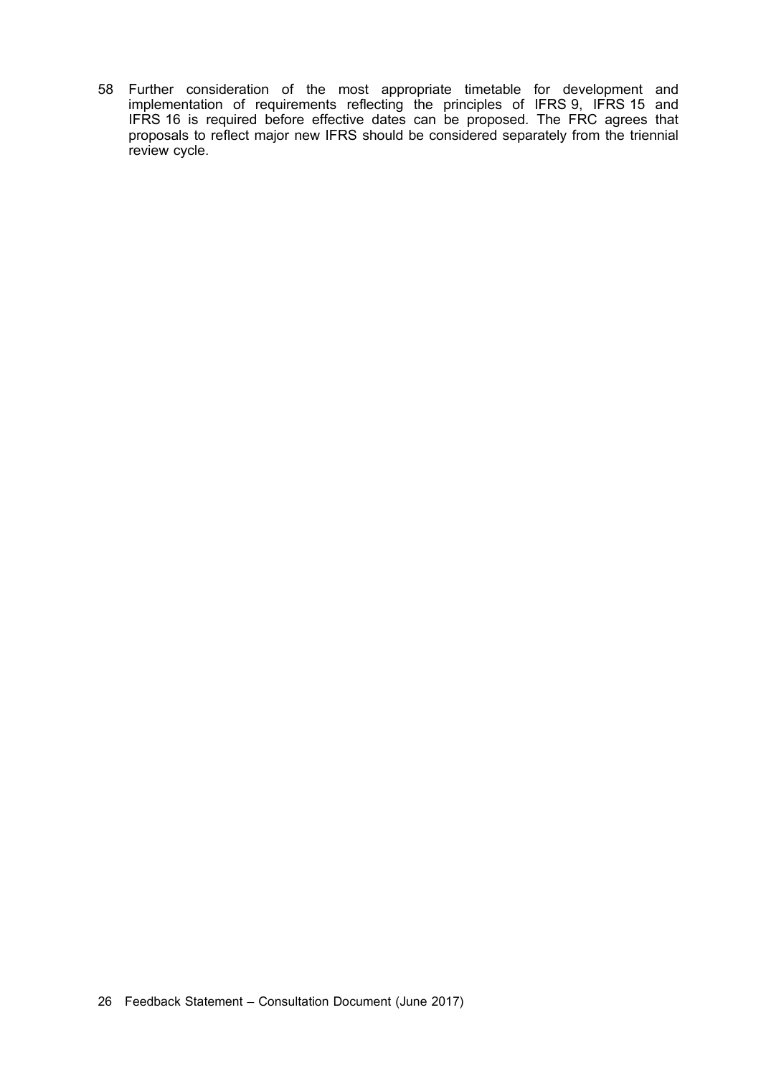58 Further consideration of the most appropriate timetable for development and implementation of requirements reflecting the principles of IFRS 9, IFRS 15 and IFRS 16 is required before effective dates can be proposed. The FRC agrees that proposals to reflect major new IFRS should be considered separately from the triennial review cycle.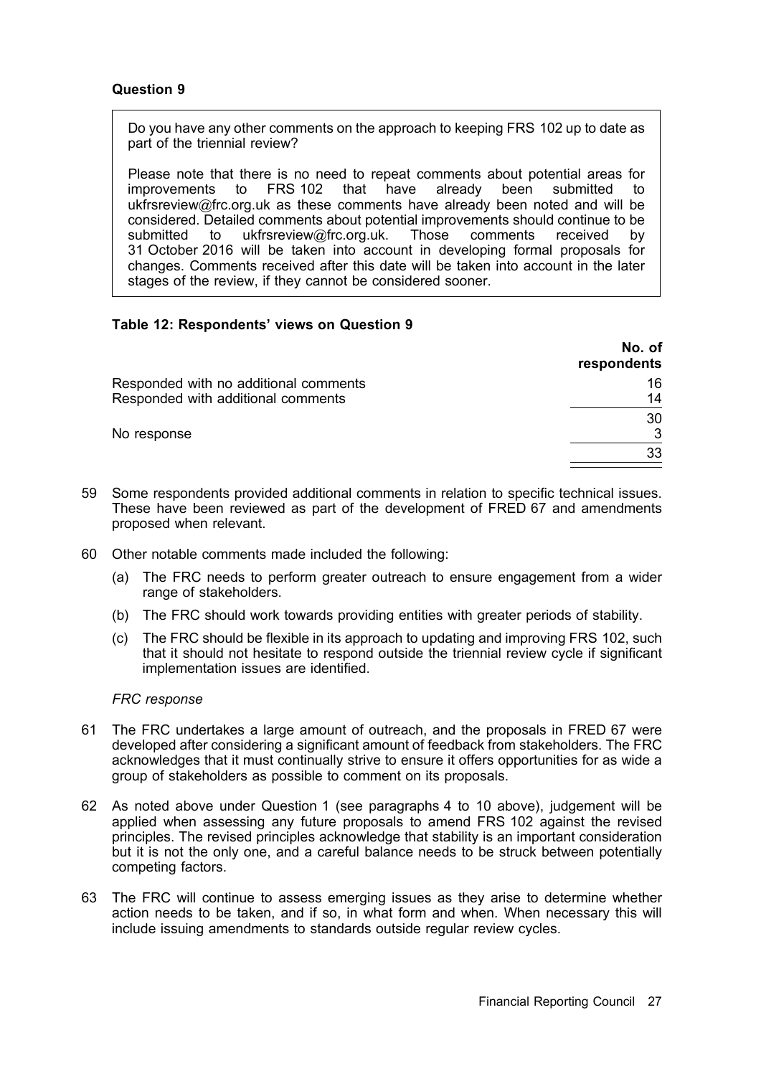Do you have any other comments on the approach to keeping FRS 102 up to date as part of the triennial review?

Please note that there is no need to repeat comments about potential areas for improvements to FRS 102 that have already been submitted to ukfrsreview@frc.org.uk as these comments have already been noted and will be considered. Detailed comments about potential improvements should continue to be<br>submitted to ukfrsreview@frc.org.uk. Those comments received by submitted to ukfrsreview@frc.org.uk. Those comments received by 31 October 2016 will be taken into account in developing formal proposals for changes. Comments received after this date will be taken into account in the later stages of the review, if they cannot be considered sooner.

#### Table 12: Respondents' views on Question 9

|                                                                             | No. of<br>respondents |
|-----------------------------------------------------------------------------|-----------------------|
| Responded with no additional comments<br>Responded with additional comments | 16<br>14              |
| No response                                                                 | 30<br>3               |
|                                                                             | 33                    |

59 Some respondents provided additional comments in relation to specific technical issues. These have been reviewed as part of the development of FRED 67 and amendments proposed when relevant.

- 60 Other notable comments made included the following:
	- (a) The FRC needs to perform greater outreach to ensure engagement from a wider range of stakeholders.
	- (b) The FRC should work towards providing entities with greater periods of stability.
	- (c) The FRC should be flexible in its approach to updating and improving FRS 102, such that it should not hesitate to respond outside the triennial review cycle if significant implementation issues are identified.

#### FRC response

- 61 The FRC undertakes a large amount of outreach, and the proposals in FRED 67 were developed after considering a significant amount of feedback from stakeholders. The FRC acknowledges that it must continually strive to ensure it offers opportunities for as wide a group of stakeholders as possible to comment on its proposals.
- 62 As noted above under Question 1 (see paragraphs 4 to 10 above), judgement will be applied when assessing any future proposals to amend FRS 102 against the revised principles. The revised principles acknowledge that stability is an important consideration but it is not the only one, and a careful balance needs to be struck between potentially competing factors.
- 63 The FRC will continue to assess emerging issues as they arise to determine whether action needs to be taken, and if so, in what form and when. When necessary this will include issuing amendments to standards outside regular review cycles.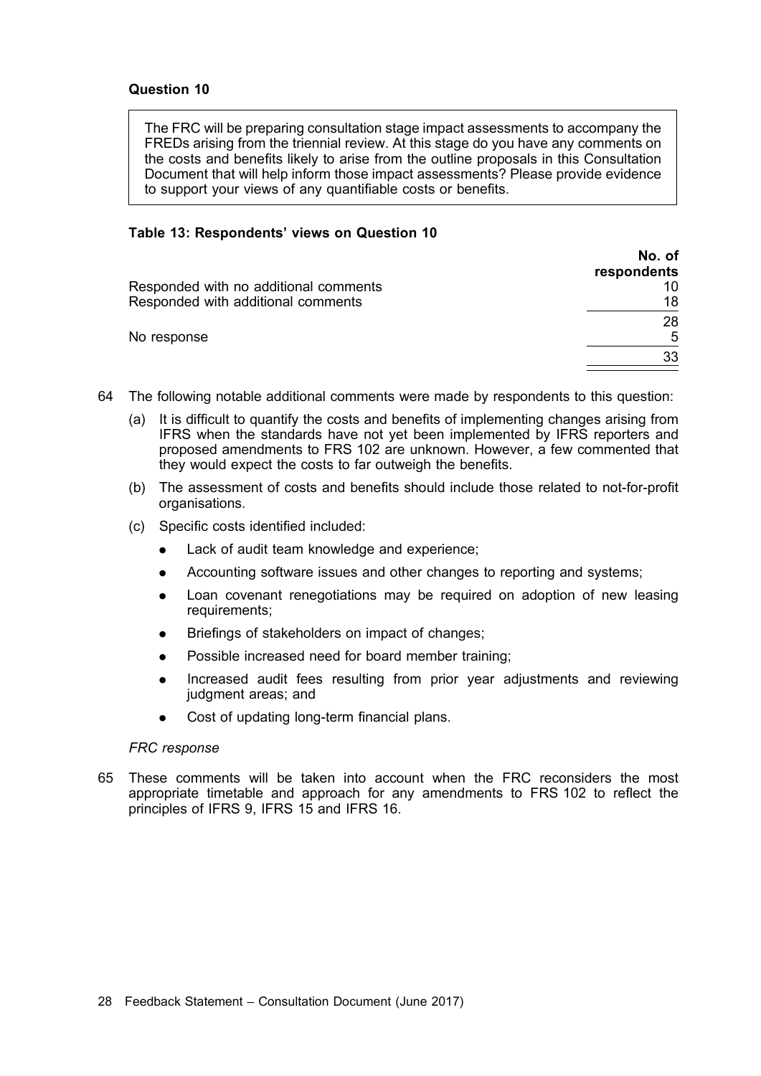The FRC will be preparing consultation stage impact assessments to accompany the FREDs arising from the triennial review. At this stage do you have any comments on the costs and benefits likely to arise from the outline proposals in this Consultation Document that will help inform those impact assessments? Please provide evidence to support your views of any quantifiable costs or benefits.

#### Table 13: Respondents' views on Question 10

|                                       | No. of<br>respondents |
|---------------------------------------|-----------------------|
| Responded with no additional comments | 10                    |
| Responded with additional comments    | 18                    |
|                                       | 28                    |
| No response                           | 5                     |
|                                       | 33                    |
|                                       |                       |

- 64 The following notable additional comments were made by respondents to this question:
	- (a) It is difficult to quantify the costs and benefits of implementing changes arising from IFRS when the standards have not yet been implemented by IFRS reporters and proposed amendments to FRS 102 are unknown. However, a few commented that they would expect the costs to far outweigh the benefits.
	- (b) The assessment of costs and benefits should include those related to not-for-profit organisations.
	- (c) Specific costs identified included:
		- . Lack of audit team knowledge and experience;
		- . Accounting software issues and other changes to reporting and systems;
		- . Loan covenant renegotiations may be required on adoption of new leasing requirements;
		- . Briefings of stakeholders on impact of changes;
		- . Possible increased need for board member training;
		- . Increased audit fees resulting from prior year adjustments and reviewing judgment areas; and
		- . Cost of updating long-term financial plans.

#### FRC response

65 These comments will be taken into account when the FRC reconsiders the most appropriate timetable and approach for any amendments to FRS 102 to reflect the principles of IFRS 9, IFRS 15 and IFRS 16.